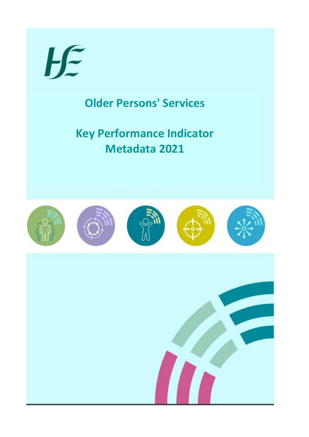

## **Older Persons' Services**

## **Key Performance Indicator Metadata 2021**

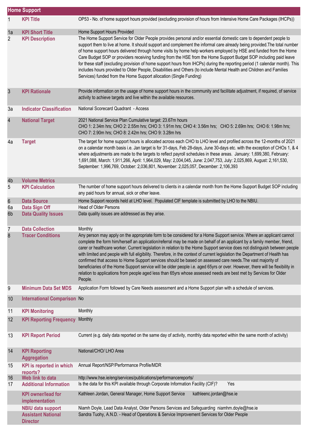|                | <b>Home Support</b>                                                      |                                                                                                                                                                                                                                                                                                                                                                                                                                                                                                                                                                                                                                                                                                                                                                                                                                                                                               |  |
|----------------|--------------------------------------------------------------------------|-----------------------------------------------------------------------------------------------------------------------------------------------------------------------------------------------------------------------------------------------------------------------------------------------------------------------------------------------------------------------------------------------------------------------------------------------------------------------------------------------------------------------------------------------------------------------------------------------------------------------------------------------------------------------------------------------------------------------------------------------------------------------------------------------------------------------------------------------------------------------------------------------|--|
| 1              | <b>KPI Title</b>                                                         | OP53 - No. of home support hours provided (excluding provision of hours from Intensive Home Care Packages (IHCPs))                                                                                                                                                                                                                                                                                                                                                                                                                                                                                                                                                                                                                                                                                                                                                                            |  |
| 1a             | <b>KPI Short Title</b>                                                   | Home Support Hours Provided                                                                                                                                                                                                                                                                                                                                                                                                                                                                                                                                                                                                                                                                                                                                                                                                                                                                   |  |
| $\overline{2}$ | <b>KPI Description</b>                                                   | The Home Support Service for Older People provides personal and/or essential domestic care to dependent people to<br>support them to live at home. It should support and complement the informal care already being provided. The total number<br>of home support hours delivered through home visits by home help workers employed by HSE and funded from the Home<br>Care Budget SOP or providers receiving funding from the HSE from the Home Support Budget SOP including paid leave<br>for these staff (excluding provision of home support hours from IHCPs) during the reporting period (1 calendar month). This<br>includes hours provided to Older People, Disabilities and Others (to include Mental Health and Children and Families<br>Services) funded from the Home Support allocation (Single Funding)                                                                         |  |
| 3              | <b>KPI Rationale</b>                                                     | Provide information on the usage of home support hours in the community and facilitate adjustment, if required, of service<br>activity to achieve targets and live within the available resources.                                                                                                                                                                                                                                                                                                                                                                                                                                                                                                                                                                                                                                                                                            |  |
| 3a             | <b>Indicator Classification</b>                                          | National Scorecard Quadrant - Access                                                                                                                                                                                                                                                                                                                                                                                                                                                                                                                                                                                                                                                                                                                                                                                                                                                          |  |
| $\overline{4}$ | <b>National Target</b>                                                   | 2021 National Service Plan Cumulative target: 23.67m hours<br>CHO 1: 2.34m hrs; CHO 2: 2.55m hrs; CHO 3: 1.91m hrs; CHO 4: 3.56m hrs; CHO 5: 2.69m hrs; CHO 6: 1.98m hrs;<br>CHO 7: 2.90m hrs; CHO 8: 2.42m hrs; CHO 9: 3.28m hrs                                                                                                                                                                                                                                                                                                                                                                                                                                                                                                                                                                                                                                                             |  |
| 4a             | <b>Target</b>                                                            | The target for home support hours is allocated across each CHO to LHO level and profiled across the 12-months of 2021<br>on a calendar month basis i.e. Jan target is for 31-days, Feb 28-days, June 30-days etc. with the exception of CHOs 1, & 4<br>where adjustments are made to the targets to reflect payroll schedules in these areas. January: 1,699,380, February:<br>1,691,088, March: 1,911,266, April: 1,964,029, May: 2,004,045, June: 2,047,753, July: 2,025,869, August: 2,161,530,<br>September: 1,996,769, October: 2,036,801, November: 2,025,057, December: 2,106,393                                                                                                                                                                                                                                                                                                      |  |
| 4b             | <b>Volume Metrics</b>                                                    |                                                                                                                                                                                                                                                                                                                                                                                                                                                                                                                                                                                                                                                                                                                                                                                                                                                                                               |  |
| 5              | <b>KPI Calculation</b>                                                   | The number of home support hours delivered to clients in a calendar month from the Home Support Budget SOP including<br>any paid hours for annual, sick or other leave.                                                                                                                                                                                                                                                                                                                                                                                                                                                                                                                                                                                                                                                                                                                       |  |
| $\,6$          | <b>Data Source</b>                                                       | Home Support records held at LHO level. Populated CIF template is submitted by LHO to the NBIU.                                                                                                                                                                                                                                                                                                                                                                                                                                                                                                                                                                                                                                                                                                                                                                                               |  |
| 6a             | Data Sign Off                                                            | <b>Head of Older Persons</b>                                                                                                                                                                                                                                                                                                                                                                                                                                                                                                                                                                                                                                                                                                                                                                                                                                                                  |  |
| 6b             | <b>Data Quality Issues</b>                                               | Data quality issues are addressed as they arise.                                                                                                                                                                                                                                                                                                                                                                                                                                                                                                                                                                                                                                                                                                                                                                                                                                              |  |
| 7              | <b>Data Collection</b>                                                   | Monthly                                                                                                                                                                                                                                                                                                                                                                                                                                                                                                                                                                                                                                                                                                                                                                                                                                                                                       |  |
| 8              | <b>Tracer Conditions</b>                                                 | Any person may apply on the appropriate form to be considered for a Home Support service. Where an applicant cannot<br>complete the form him/herself an application/referral may be made on behalf of an applicant by a family member, friend,<br>carer or healthcare worker. Current legislation in relation to the Home Support service does not distinguish between people<br>with limited and people with full eligibility. Therefore, in the context of current legislation the Department of Health has<br>confirmed that access to Home Support services should be based on assessed care needs. The vast majority of<br>beneficiaries of the Home Support service will be older people i.e. aged 65yrs or over. However, there will be flexibility in<br>relation to applications from people aged less than 65yrs whose assessed needs are best met by Services for Older<br>People. |  |
| 9              | <b>Minimum Data Set MDS</b>                                              | Application Form followed by Care Needs assessment and a Home Support plan with a schedule of services.                                                                                                                                                                                                                                                                                                                                                                                                                                                                                                                                                                                                                                                                                                                                                                                       |  |
| 10             | <b>International Comparison No</b>                                       |                                                                                                                                                                                                                                                                                                                                                                                                                                                                                                                                                                                                                                                                                                                                                                                                                                                                                               |  |
| 11             | <b>KPI Monitoring</b>                                                    | Monthly                                                                                                                                                                                                                                                                                                                                                                                                                                                                                                                                                                                                                                                                                                                                                                                                                                                                                       |  |
| 12             | <b>KPI Reporting Frequency</b>                                           | Monthly                                                                                                                                                                                                                                                                                                                                                                                                                                                                                                                                                                                                                                                                                                                                                                                                                                                                                       |  |
| 13             | <b>KPI Report Period</b>                                                 | Current (e.g. daily data reported on the same day of activity, monthly data reported within the same month of activity)                                                                                                                                                                                                                                                                                                                                                                                                                                                                                                                                                                                                                                                                                                                                                                       |  |
| 14             | <b>KPI Reporting</b><br><b>Aggregation</b>                               | National/CHO/ LHO Area                                                                                                                                                                                                                                                                                                                                                                                                                                                                                                                                                                                                                                                                                                                                                                                                                                                                        |  |
| 15             | <b>KPI</b> is reported in which                                          | Annual Report/NSP/Performance Profile/MDR                                                                                                                                                                                                                                                                                                                                                                                                                                                                                                                                                                                                                                                                                                                                                                                                                                                     |  |
| 16             | reports?<br>Web link to data                                             | http://www.hse.ie/eng/services/publications/performancereports/                                                                                                                                                                                                                                                                                                                                                                                                                                                                                                                                                                                                                                                                                                                                                                                                                               |  |
| 17             | <b>Additional Information</b>                                            | Is the data for this KPI available through Corporate Information Facility (CIF)?<br>Yes                                                                                                                                                                                                                                                                                                                                                                                                                                                                                                                                                                                                                                                                                                                                                                                                       |  |
|                | <b>KPI</b> owner/lead for<br>implementation                              | Kathleen Jordan, General Manager, Home Support Service<br>kathleenc.jordan@hse.ie                                                                                                                                                                                                                                                                                                                                                                                                                                                                                                                                                                                                                                                                                                                                                                                                             |  |
|                | <b>NBIU data support</b><br><b>Assistant National</b><br><b>Director</b> | Niamh Doyle, Lead Data Analyst, Older Persons Services and Safeguarding niamhm.doyle@hse.ie<br>Sandra Tuohy, A.N.D. - Head of Operations & Service Improvement Services for Older People                                                                                                                                                                                                                                                                                                                                                                                                                                                                                                                                                                                                                                                                                                      |  |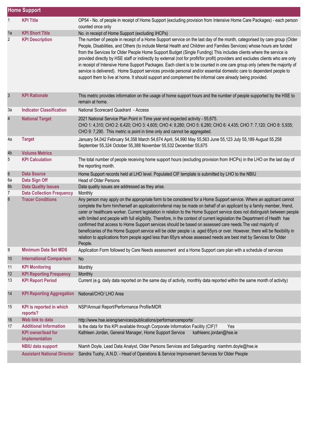|                     | <b>Home Support</b>                                          |                                                                                                                                                                                                                                                                                                                                                                                                                                                                                                                                                                                                                                                                                                                                                                                                                                                                                                          |
|---------------------|--------------------------------------------------------------|----------------------------------------------------------------------------------------------------------------------------------------------------------------------------------------------------------------------------------------------------------------------------------------------------------------------------------------------------------------------------------------------------------------------------------------------------------------------------------------------------------------------------------------------------------------------------------------------------------------------------------------------------------------------------------------------------------------------------------------------------------------------------------------------------------------------------------------------------------------------------------------------------------|
| $\mathbf{1}$        | <b>KPI Title</b>                                             | OP54 - No. of people in receipt of Home Support (excluding provision from Intensive Home Care Packages) - each person                                                                                                                                                                                                                                                                                                                                                                                                                                                                                                                                                                                                                                                                                                                                                                                    |
|                     |                                                              | counted once only                                                                                                                                                                                                                                                                                                                                                                                                                                                                                                                                                                                                                                                                                                                                                                                                                                                                                        |
| 1a                  | <b>KPI Short Title</b>                                       | No. in receipt of Home Support (excluding IHCPs)                                                                                                                                                                                                                                                                                                                                                                                                                                                                                                                                                                                                                                                                                                                                                                                                                                                         |
| 2                   | <b>KPI Description</b>                                       | The number of people in receipt of a Home Support service on the last day of the month, categorised by care group (Older<br>People, Disabilities, and Others (to include Mental Health and Children and Families Services) whose hours are funded<br>from the Services for Older People Home Support Budget (Single Funding) This includes clients where the service is<br>provided directly by HSE staff or indirectly by external (not for profit/for profit) providers and excludes clients who are only<br>in receipt of Intensive Home Support Packages. Each client is to be counted in one care group only (where the majority of<br>service is delivered). Home Support services provide personal and/or essential domestic care to dependent people to<br>support them to live at home. It should support and complement the informal care already being provided.                              |
| $\mathfrak{S}$      | <b>KPI Rationale</b>                                         | This metric provides information on the usage of home support hours and the number of people supported by the HSE to<br>remain at home.                                                                                                                                                                                                                                                                                                                                                                                                                                                                                                                                                                                                                                                                                                                                                                  |
| 3a                  | <b>Indicator Classification</b>                              | National Scorecard Quadrant - Access                                                                                                                                                                                                                                                                                                                                                                                                                                                                                                                                                                                                                                                                                                                                                                                                                                                                     |
| 4                   | <b>National Target</b>                                       | 2021 National Service Plan Point in Time year end expected activity - 55,675.                                                                                                                                                                                                                                                                                                                                                                                                                                                                                                                                                                                                                                                                                                                                                                                                                            |
|                     |                                                              | CHO 1: 4,310; CHO 2: 6,420; CHO 3: 4,605; CHO 4: 9,280; CHO 5: 6,280; CHO 6: 4,435; CHO 7: 7,120; CHO 8: 5,935;<br>CHO 9: 7,290. This metric is point in time only and cannot be aggregated.                                                                                                                                                                                                                                                                                                                                                                                                                                                                                                                                                                                                                                                                                                             |
| 4a                  | <b>Target</b>                                                | January 54,042 February 54,358 March 54,674 April, 54,990 May 55,563 June 55,123 July 55,189 August 55,258<br>September 55,324 October 55,388 November 55,532 December 55,675                                                                                                                                                                                                                                                                                                                                                                                                                                                                                                                                                                                                                                                                                                                            |
| 4b                  | <b>Volume Metrics</b>                                        |                                                                                                                                                                                                                                                                                                                                                                                                                                                                                                                                                                                                                                                                                                                                                                                                                                                                                                          |
| 5                   | <b>KPI Calculation</b>                                       | The total number of people receiving home support hours (excluding provision from IHCPs) in the LHO on the last day of<br>the reporting month.                                                                                                                                                                                                                                                                                                                                                                                                                                                                                                                                                                                                                                                                                                                                                           |
| $\boldsymbol{6}$    | <b>Data Source</b>                                           | Home Support records held at LHO level. Populated CIF template is submitted by LHO to the NBIU                                                                                                                                                                                                                                                                                                                                                                                                                                                                                                                                                                                                                                                                                                                                                                                                           |
| 6a                  | Data Sign Off                                                | <b>Head of Older Persons</b>                                                                                                                                                                                                                                                                                                                                                                                                                                                                                                                                                                                                                                                                                                                                                                                                                                                                             |
| 6b                  | <b>Data Quality Issues</b>                                   | Data quality issues are addressed as they arise.                                                                                                                                                                                                                                                                                                                                                                                                                                                                                                                                                                                                                                                                                                                                                                                                                                                         |
| $\overline{7}$<br>8 | <b>Data Collection Frequency</b><br><b>Tracer Conditions</b> | Monthly<br>Any person may apply on the appropriate form to be considered for a Home Support service. Where an applicant cannot<br>complete the form him/herself an application/referral may be made on behalf of an applicant by a family member, friend,<br>carer or healthcare worker. Current legislation in relation to the Home Support service does not distinguish between people<br>with limited and people with full eligibility. Therefore, in the context of current legislation the Department of Health has<br>confirmed that access to Home Support services should be based on assessed care needs. The vast majority of<br>beneficiaries of the Home Support service will be older people i.e. aged 65yrs or over. However, there will be flexibility in<br>relation to applications from people aged less than 65yrs whose assessed needs are best met by Services for Older<br>People. |
| 9                   | <b>Minimum Data Set MDS</b>                                  | Application Form followed by Care Needs assessment and a Home Support care plan with a schedule of services                                                                                                                                                                                                                                                                                                                                                                                                                                                                                                                                                                                                                                                                                                                                                                                              |
| 10                  | <b>International Comparison</b>                              | No                                                                                                                                                                                                                                                                                                                                                                                                                                                                                                                                                                                                                                                                                                                                                                                                                                                                                                       |
| 11                  | <b>KPI Monitoring</b>                                        | Monthly                                                                                                                                                                                                                                                                                                                                                                                                                                                                                                                                                                                                                                                                                                                                                                                                                                                                                                  |
| 12                  | <b>KPI Reporting Frequency</b>                               | Monthly                                                                                                                                                                                                                                                                                                                                                                                                                                                                                                                                                                                                                                                                                                                                                                                                                                                                                                  |
| 13                  | <b>KPI Report Period</b>                                     | Current (e.g. daily data reported on the same day of activity, monthly data reported within the same month of activity)                                                                                                                                                                                                                                                                                                                                                                                                                                                                                                                                                                                                                                                                                                                                                                                  |
| 14                  | <b>KPI Reporting Aggregation</b>                             | National/CHO/ LHO Area                                                                                                                                                                                                                                                                                                                                                                                                                                                                                                                                                                                                                                                                                                                                                                                                                                                                                   |
| 15                  | <b>KPI</b> is reported in which<br>reports?                  | NSP/Annual Report/Performance Profile/MDR                                                                                                                                                                                                                                                                                                                                                                                                                                                                                                                                                                                                                                                                                                                                                                                                                                                                |
| 16                  | Web link to data                                             | http://www.hse.ie/eng/services/publications/performancereports/                                                                                                                                                                                                                                                                                                                                                                                                                                                                                                                                                                                                                                                                                                                                                                                                                                          |
| 17                  | <b>Additional Information</b>                                | Is the data for this KPI available through Corporate Information Facility (CIF)?<br>Yes                                                                                                                                                                                                                                                                                                                                                                                                                                                                                                                                                                                                                                                                                                                                                                                                                  |
|                     | <b>KPI</b> owner/lead for<br>implementation                  | Kathleen Jordan, General Manager, Home Support Service<br>kathleenc.jordan@hse.ie                                                                                                                                                                                                                                                                                                                                                                                                                                                                                                                                                                                                                                                                                                                                                                                                                        |
|                     | <b>NBIU data support</b>                                     | Niamh Doyle, Lead Data Analyst, Older Persons Services and Safeguarding niamhm.doyle@hse.ie                                                                                                                                                                                                                                                                                                                                                                                                                                                                                                                                                                                                                                                                                                                                                                                                              |
|                     | <b>Assistant National Director</b>                           | Sandra Tuohy, A.N.D. - Head of Operations & Service Improvement Services for Older People                                                                                                                                                                                                                                                                                                                                                                                                                                                                                                                                                                                                                                                                                                                                                                                                                |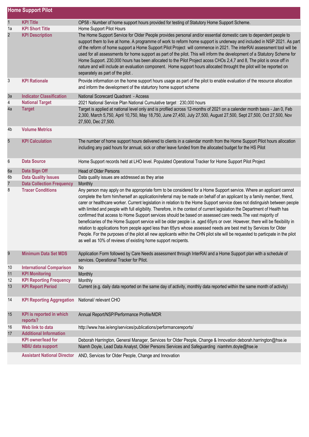|                | <b>Home Support Pilot</b>                   |                                                                                                                                                                                                                                                                                                                                                                                                                                                                                                                                                                                                                                                                                                                                                                                                                                                                                                                                                                                                                                                                                        |
|----------------|---------------------------------------------|----------------------------------------------------------------------------------------------------------------------------------------------------------------------------------------------------------------------------------------------------------------------------------------------------------------------------------------------------------------------------------------------------------------------------------------------------------------------------------------------------------------------------------------------------------------------------------------------------------------------------------------------------------------------------------------------------------------------------------------------------------------------------------------------------------------------------------------------------------------------------------------------------------------------------------------------------------------------------------------------------------------------------------------------------------------------------------------|
| $\mathbf{1}$   | <b>KPI Title</b>                            | OP58 - Number of home support hours provided for testing of Statutory Home Support Scheme.                                                                                                                                                                                                                                                                                                                                                                                                                                                                                                                                                                                                                                                                                                                                                                                                                                                                                                                                                                                             |
| 1a             | <b>KPI Short Title</b>                      | Home Support Pilot Hours                                                                                                                                                                                                                                                                                                                                                                                                                                                                                                                                                                                                                                                                                                                                                                                                                                                                                                                                                                                                                                                               |
| $\overline{2}$ | <b>KPI Description</b>                      | The Home Support Service for Older People provides personal and/or essential domestic care to dependent people to<br>support them to live at home. A programme of work to reform home support is underway and included in NSP 2021. As part<br>of the reform of home support a Home Support Pilot Project will commence in 2021. The interRAI assessment tool will be<br>used for all assessments for home support as part of the pilot. This will inform the development of a Statutory Scheme for<br>Home Support. 230,000 hours has been allocated to the Pilot Project acoss CHOs 2,4,7 and 8, The pilot is once off in<br>nature and will include an evaluation component. Home support hours allocated throught the pilot will be reported on<br>separately as part of the pilot.                                                                                                                                                                                                                                                                                                |
| 3              | <b>KPI Rationale</b>                        | Provide information on the home support hours usage as part of the pilot to enable evaluation of the resource allocation<br>and inform the development of the staturtory home support scheme                                                                                                                                                                                                                                                                                                                                                                                                                                                                                                                                                                                                                                                                                                                                                                                                                                                                                           |
| 3a             | <b>Indicator Classification</b>             | National Scorecard Quadrant - Access                                                                                                                                                                                                                                                                                                                                                                                                                                                                                                                                                                                                                                                                                                                                                                                                                                                                                                                                                                                                                                                   |
| 4              | <b>National Target</b>                      | 2021 National Service Plan National Cumulative target : 230,000 hours                                                                                                                                                                                                                                                                                                                                                                                                                                                                                                                                                                                                                                                                                                                                                                                                                                                                                                                                                                                                                  |
| 4a             | <b>Target</b>                               | Target is applied at national level only and is profiled across 12-months of 2021 on a calender month basis - Jan 0, Feb<br>2,300, March 5,750, April 10,750, May 18,750, June 27,450, July 27,500, August 27,500, Sept 27,500, Oct 27,500, Nov<br>27,500, Dec 27,500.                                                                                                                                                                                                                                                                                                                                                                                                                                                                                                                                                                                                                                                                                                                                                                                                                 |
| 4b             | <b>Volume Metrics</b>                       |                                                                                                                                                                                                                                                                                                                                                                                                                                                                                                                                                                                                                                                                                                                                                                                                                                                                                                                                                                                                                                                                                        |
| $5\,$          | <b>KPI Calculation</b>                      | The number of home support hours delivered to clients in a calendar month from the Home Support Pilot hours allocation<br>including any paid hours for annual, sick or other leave funded from the allocated budget for the HS Pilot                                                                                                                                                                                                                                                                                                                                                                                                                                                                                                                                                                                                                                                                                                                                                                                                                                                   |
| 6              | <b>Data Source</b>                          | Home Support records held at LHO level. Populated Operational Tracker for Home Support Pilot Project                                                                                                                                                                                                                                                                                                                                                                                                                                                                                                                                                                                                                                                                                                                                                                                                                                                                                                                                                                                   |
| 6a             | <b>Data Sign Off</b>                        | <b>Head of Older Persons</b>                                                                                                                                                                                                                                                                                                                                                                                                                                                                                                                                                                                                                                                                                                                                                                                                                                                                                                                                                                                                                                                           |
| 6b             | <b>Data Quality Issues</b>                  | Data quality issues are addressed as they arise                                                                                                                                                                                                                                                                                                                                                                                                                                                                                                                                                                                                                                                                                                                                                                                                                                                                                                                                                                                                                                        |
| $\overline{7}$ | <b>Data Collection Frequency</b>            | Monthly                                                                                                                                                                                                                                                                                                                                                                                                                                                                                                                                                                                                                                                                                                                                                                                                                                                                                                                                                                                                                                                                                |
| 8              | <b>Tracer Conditions</b>                    | Any person may apply on the appropriate form to be considered for a Home Support service. Where an applicant cannot<br>complete the form him/herself an application/referral may be made on behalf of an applicant by a family member, friend,<br>carer or healthcare worker. Current legislation in relation to the Home Support service does not distinguish between people<br>with limited and people with full eligibility. Therefore, in the context of current legislation the Department of Health has<br>confirmed that access to Home Support services should be based on assessed care needs. The vast majority of<br>beneficiaries of the Home Support service will be older people i.e. aged 65yrs or over. However, there will be flexibility in<br>relation to applications from people aged less than 65yrs whose assessed needs are best met by Services for Older<br>People. For the purposes of the pilot all new applicants within the CHN pilot site will be requested to particpate in the pilot<br>as well as 10% of reviews of existing home support recipents. |
| 9              | <b>Minimum Data Set MDS</b>                 | Application Form followed by Care Needs assessment through InterRAI and a Home Support plan with a schedule of<br>services. Operational Tracker for Pilot.                                                                                                                                                                                                                                                                                                                                                                                                                                                                                                                                                                                                                                                                                                                                                                                                                                                                                                                             |
| 10             | <b>International Comparison</b>             | <b>No</b>                                                                                                                                                                                                                                                                                                                                                                                                                                                                                                                                                                                                                                                                                                                                                                                                                                                                                                                                                                                                                                                                              |
| 11             | <b>KPI Monitoring</b>                       | Monthly                                                                                                                                                                                                                                                                                                                                                                                                                                                                                                                                                                                                                                                                                                                                                                                                                                                                                                                                                                                                                                                                                |
| 12             | <b>KPI Reporting Frequency</b>              | Monthly                                                                                                                                                                                                                                                                                                                                                                                                                                                                                                                                                                                                                                                                                                                                                                                                                                                                                                                                                                                                                                                                                |
| 13             | <b>KPI Report Period</b>                    | Current (e.g. daily data reported on the same day of activity, monthly data reported within the same month of activity)                                                                                                                                                                                                                                                                                                                                                                                                                                                                                                                                                                                                                                                                                                                                                                                                                                                                                                                                                                |
| 14             | <b>KPI Reporting Aggregation</b>            | National/ relevant CHO                                                                                                                                                                                                                                                                                                                                                                                                                                                                                                                                                                                                                                                                                                                                                                                                                                                                                                                                                                                                                                                                 |
| 15             | <b>KPI</b> is reported in which<br>reports? | Annual Report/NSP/Performance Profile/MDR                                                                                                                                                                                                                                                                                                                                                                                                                                                                                                                                                                                                                                                                                                                                                                                                                                                                                                                                                                                                                                              |
| 16             | Web link to data                            | http://www.hse.ie/eng/services/publications/performancereports/                                                                                                                                                                                                                                                                                                                                                                                                                                                                                                                                                                                                                                                                                                                                                                                                                                                                                                                                                                                                                        |
| 17             | <b>Additional Information</b>               |                                                                                                                                                                                                                                                                                                                                                                                                                                                                                                                                                                                                                                                                                                                                                                                                                                                                                                                                                                                                                                                                                        |
|                | <b>KPI</b> owner/lead for                   | Deborah Harrington, General Manager, Services for Older People, Change & Innovation deborah.harrington@hse.ie                                                                                                                                                                                                                                                                                                                                                                                                                                                                                                                                                                                                                                                                                                                                                                                                                                                                                                                                                                          |
|                | <b>NBIU data support</b>                    | Niamh Doyle, Lead Data Analyst, Older Persons Services and Safeguarding niamhm.doyle@hse.ie                                                                                                                                                                                                                                                                                                                                                                                                                                                                                                                                                                                                                                                                                                                                                                                                                                                                                                                                                                                            |
|                | <b>Assistant National Director</b>          | AND, Services for Older People, Change and Innovation                                                                                                                                                                                                                                                                                                                                                                                                                                                                                                                                                                                                                                                                                                                                                                                                                                                                                                                                                                                                                                  |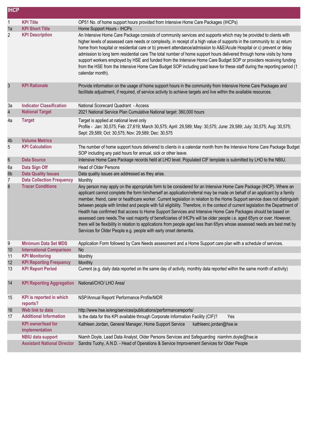| <b>IHCP</b>             |                                                            |                                                                                                                                                                                                                                                                                                                                                                                                                                                                                                                                                                                                                                                                                                                                                                                                                                                                                                                                                                  |
|-------------------------|------------------------------------------------------------|------------------------------------------------------------------------------------------------------------------------------------------------------------------------------------------------------------------------------------------------------------------------------------------------------------------------------------------------------------------------------------------------------------------------------------------------------------------------------------------------------------------------------------------------------------------------------------------------------------------------------------------------------------------------------------------------------------------------------------------------------------------------------------------------------------------------------------------------------------------------------------------------------------------------------------------------------------------|
| 1                       | <b>KPI Title</b>                                           | OP51 No. of home support hours provided from Intensive Home Care Packages (IHCPs)                                                                                                                                                                                                                                                                                                                                                                                                                                                                                                                                                                                                                                                                                                                                                                                                                                                                                |
| 1a                      | <b>KPI Short Title</b>                                     | Home Support Hours - IHCPs                                                                                                                                                                                                                                                                                                                                                                                                                                                                                                                                                                                                                                                                                                                                                                                                                                                                                                                                       |
| $\overline{2}$          | <b>KPI Description</b>                                     | An Intensive Home Care Package consists of community services and supports which may be provided to clients with<br>higher levels of assessed care needs or complexity, in receipt of a high value of supports in the community to: a) return<br>home from hospital or residential care or b) prevent attendance/admission to A&E/Acute Hospital or c) prevent or delay<br>admission to long term residential care The total number of home support hours delivered through home visits by home<br>support workers employed by HSE and funded from the Intensive Home Care Budget SOP or providers receiving funding<br>from the HSE from the Intensive Home Care Budget SOP including paid leave for these staff during the reporting period (1<br>calendar month).                                                                                                                                                                                             |
| 3                       | <b>KPI Rationale</b>                                       | Provide information on the usage of home support hours in the community from Intensive Home Care Packages and<br>facilitate adjustment, if required, of service activity to achieve targets and live within the available resources.                                                                                                                                                                                                                                                                                                                                                                                                                                                                                                                                                                                                                                                                                                                             |
| За                      | <b>Indicator Classification</b>                            | National Scorecard Quadrant - Access                                                                                                                                                                                                                                                                                                                                                                                                                                                                                                                                                                                                                                                                                                                                                                                                                                                                                                                             |
| $\overline{\mathbf{4}}$ | <b>National Target</b>                                     | 2021 National Service Plan Cumulative National target: 360,000 hours                                                                                                                                                                                                                                                                                                                                                                                                                                                                                                                                                                                                                                                                                                                                                                                                                                                                                             |
| 4a                      | <b>Target</b>                                              | Target is applied at national level only<br>Profile - Jan: 30,575; Feb: 27,619; March 30,575; April: 29,589; May: 30,575; June: 29,589; July: 30,575; Aug: 30,575;<br>Sept: 29,589; Oct: 30,575; Nov: 29,589; Dec: 30,575                                                                                                                                                                                                                                                                                                                                                                                                                                                                                                                                                                                                                                                                                                                                        |
| 4b                      | <b>Volume Metrics</b>                                      |                                                                                                                                                                                                                                                                                                                                                                                                                                                                                                                                                                                                                                                                                                                                                                                                                                                                                                                                                                  |
| 5                       | <b>KPI Calculation</b>                                     | The number of home support hours delivered to clients in a calendar month from the Intensive Home Care Package Budget<br>SOP including any paid hours for annual, sick or other leave.                                                                                                                                                                                                                                                                                                                                                                                                                                                                                                                                                                                                                                                                                                                                                                           |
| $\boldsymbol{6}$        | <b>Data Source</b>                                         | Intensive Home Care Package records held at LHO level. Populated CIF template is submitted by LHO to the NBIU.                                                                                                                                                                                                                                                                                                                                                                                                                                                                                                                                                                                                                                                                                                                                                                                                                                                   |
| 6a                      | Data Sign Off                                              | <b>Head of Older Persons</b>                                                                                                                                                                                                                                                                                                                                                                                                                                                                                                                                                                                                                                                                                                                                                                                                                                                                                                                                     |
| 6b                      | <b>Data Quality Issues</b>                                 | Data quality issues are addressed as they arise.                                                                                                                                                                                                                                                                                                                                                                                                                                                                                                                                                                                                                                                                                                                                                                                                                                                                                                                 |
| 7                       | <b>Data Collection Frequency</b>                           | Monthly                                                                                                                                                                                                                                                                                                                                                                                                                                                                                                                                                                                                                                                                                                                                                                                                                                                                                                                                                          |
| 8                       | <b>Tracer Conditions</b>                                   | Any person may apply on the appropriate form to be considered for an Intensive Home Care Package (IHCP). Where an<br>applicant cannot complete the form him/herself an application/referral may be made on behalf of an applicant by a family<br>member, friend, carer or healthcare worker. Current legislation in relation to the Home Support service does not distinguish<br>between people with limited and people with full eligibility. Therefore, in the context of current legislation the Department of<br>Health has confirmed that access to Home Support Services and Intensive Home Care Packages should be based on<br>assessed care needs. The vast majority of beneficiaries of IHCPs will be older people i.e. aged 65yrs or over. However,<br>there will be flexibility in relation to applications from people aged less than 65yrs whose assessed needs are best met by<br>Services for Older People e.g. people with early onset dementia. |
| 9                       | <b>Minimum Data Set MDS</b>                                | Application Form followed by Care Needs assessment and a Home Support care plan with a schedule of services.                                                                                                                                                                                                                                                                                                                                                                                                                                                                                                                                                                                                                                                                                                                                                                                                                                                     |
| 10                      | <b>International Comparison</b>                            | No                                                                                                                                                                                                                                                                                                                                                                                                                                                                                                                                                                                                                                                                                                                                                                                                                                                                                                                                                               |
| 11                      | <b>KPI Monitoring</b>                                      | Monthly                                                                                                                                                                                                                                                                                                                                                                                                                                                                                                                                                                                                                                                                                                                                                                                                                                                                                                                                                          |
| 12<br>13                | <b>KPI Reporting Frequency</b><br><b>KPI Report Period</b> | Monthly<br>Current (e.g. daily data reported on the same day of activity, monthly data reported within the same month of activity)                                                                                                                                                                                                                                                                                                                                                                                                                                                                                                                                                                                                                                                                                                                                                                                                                               |
|                         |                                                            |                                                                                                                                                                                                                                                                                                                                                                                                                                                                                                                                                                                                                                                                                                                                                                                                                                                                                                                                                                  |
| 14                      | <b>KPI Reporting Aggregation</b>                           | National/CHO/ LHO Area/                                                                                                                                                                                                                                                                                                                                                                                                                                                                                                                                                                                                                                                                                                                                                                                                                                                                                                                                          |
| 15                      | <b>KPI</b> is reported in which<br>reports?                | NSP/Annual Report/ Performance Profile/MDR                                                                                                                                                                                                                                                                                                                                                                                                                                                                                                                                                                                                                                                                                                                                                                                                                                                                                                                       |
| 16                      | Web link to data                                           | http://www.hse.ie/eng/services/publications/performancereports/                                                                                                                                                                                                                                                                                                                                                                                                                                                                                                                                                                                                                                                                                                                                                                                                                                                                                                  |
| 17                      | <b>Additional Information</b>                              | Is the data for this KPI available through Corporate Information Facility (CIF)?<br>Yes                                                                                                                                                                                                                                                                                                                                                                                                                                                                                                                                                                                                                                                                                                                                                                                                                                                                          |
|                         | <b>KPI</b> owner/lead for<br>implementation                | Kathleen Jordan, General Manager, Home Support Service<br>kathleenc.jordan@hse.ie                                                                                                                                                                                                                                                                                                                                                                                                                                                                                                                                                                                                                                                                                                                                                                                                                                                                                |
|                         | <b>NBIU data support</b>                                   | Niamh Doyle, Lead Data Analyst, Older Persons Services and Safeguarding niamhm.doyle@hse.ie                                                                                                                                                                                                                                                                                                                                                                                                                                                                                                                                                                                                                                                                                                                                                                                                                                                                      |
|                         | <b>Assistant National Director</b>                         | Sandra Tuohy, A.N.D. - Head of Operations & Service Improvement Services for Older People                                                                                                                                                                                                                                                                                                                                                                                                                                                                                                                                                                                                                                                                                                                                                                                                                                                                        |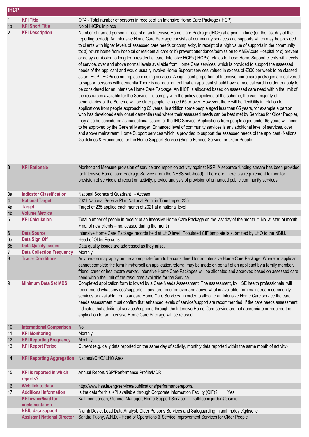| <b>IHCP</b>     |                                                                |                                                                                                                                                                                                                                                                                                                                                                                                                                                                                                                                                                                                                                                                                                                                                                                                                                                                                                                                                                                                                                                                                                                                                                                                                                                                                                                                                                                                                                                                                                                                                                                                                                                                                                                                                                                                                                                                                                                                                                                                                                                                                                                                                                                                                                                                    |
|-----------------|----------------------------------------------------------------|--------------------------------------------------------------------------------------------------------------------------------------------------------------------------------------------------------------------------------------------------------------------------------------------------------------------------------------------------------------------------------------------------------------------------------------------------------------------------------------------------------------------------------------------------------------------------------------------------------------------------------------------------------------------------------------------------------------------------------------------------------------------------------------------------------------------------------------------------------------------------------------------------------------------------------------------------------------------------------------------------------------------------------------------------------------------------------------------------------------------------------------------------------------------------------------------------------------------------------------------------------------------------------------------------------------------------------------------------------------------------------------------------------------------------------------------------------------------------------------------------------------------------------------------------------------------------------------------------------------------------------------------------------------------------------------------------------------------------------------------------------------------------------------------------------------------------------------------------------------------------------------------------------------------------------------------------------------------------------------------------------------------------------------------------------------------------------------------------------------------------------------------------------------------------------------------------------------------------------------------------------------------|
| 1               | <b>KPI Title</b>                                               | OP4 - Total number of persons in receipt of an Intensive Home Care Package (IHCP)                                                                                                                                                                                                                                                                                                                                                                                                                                                                                                                                                                                                                                                                                                                                                                                                                                                                                                                                                                                                                                                                                                                                                                                                                                                                                                                                                                                                                                                                                                                                                                                                                                                                                                                                                                                                                                                                                                                                                                                                                                                                                                                                                                                  |
| 1a              | <b>KPI Short Title</b>                                         | No of IHCPs in place                                                                                                                                                                                                                                                                                                                                                                                                                                                                                                                                                                                                                                                                                                                                                                                                                                                                                                                                                                                                                                                                                                                                                                                                                                                                                                                                                                                                                                                                                                                                                                                                                                                                                                                                                                                                                                                                                                                                                                                                                                                                                                                                                                                                                                               |
| 2               | <b>KPI Description</b>                                         | Number of named person in receipt of an Intensive Home Care Package (IHCP) at a point in time (on the last day of the<br>reporting period). An Intensive Home Care Package consists of community services and supports which may be provided<br>to clients with higher levels of assessed care needs or complexity, in receipt of a high value of supports in the community<br>to: a) return home from hospital or residential care or b) prevent attendance/admission to A&E/Acute Hospital or c) prevent<br>or delay admission to long term residential care. Intensive HCPs (IHCPs) relates to those Home Support clients with levels<br>of service, over and above normal levels available from Home Care services, which is provided to support the assessed<br>needs of the applicant and would usually involve Home Support services valued in excess of €800 per week to be classed<br>as an IHCP. IHCPs do not replace existing services. A significant proportion of Intensive home care packages are delivered<br>to support persons with dementia. There is no requirement that an applicant should have a medical card in order to apply to<br>be considered for an Intensive Home Care Package. An IHCP is allocated based on assessed care need within the limit of<br>the resources available for the Service. To comply with the policy objectives of the scheme, the vast majority of<br>beneficiaries of the Scheme will be older people i.e. aged 65 or over. However, there will be flexibility in relation to<br>applications from people approaching 65 years. In addition some people aged less than 65 years, for example a person<br>who has developed early onset dementia (and where their assessed needs can be best met by Services for Older People),<br>may also be considered as exceptional cases for the IHC Service. Applications from people aged under 65 years will need<br>to be approved by the General Manager. Enhanced level of community services is any additional level of services, over<br>and above mainstream Home Support services which is provided to support the assessed needs of the applicant (National<br>Guidelines & Procedures for the Home Support Service (Single Funded Service for Older People) |
| 3               | <b>KPI Rationale</b>                                           | Monitor and Measure provision of service and report on activity against NSP. A separate funding stream has been provided<br>for Intensive Home Care Package Service (from the NHSS sub-head). Therefore, there is a requirement to monitor<br>provision of service and report on activity; provide analysis of provision of enhanced public community services.                                                                                                                                                                                                                                                                                                                                                                                                                                                                                                                                                                                                                                                                                                                                                                                                                                                                                                                                                                                                                                                                                                                                                                                                                                                                                                                                                                                                                                                                                                                                                                                                                                                                                                                                                                                                                                                                                                    |
| 3a              | <b>Indicator Classification</b>                                | National Scorecard Quadrant - Access                                                                                                                                                                                                                                                                                                                                                                                                                                                                                                                                                                                                                                                                                                                                                                                                                                                                                                                                                                                                                                                                                                                                                                                                                                                                                                                                                                                                                                                                                                                                                                                                                                                                                                                                                                                                                                                                                                                                                                                                                                                                                                                                                                                                                               |
| 4               | <b>National Target</b>                                         | 2021 National Service Plan National Point in Time target: 235.                                                                                                                                                                                                                                                                                                                                                                                                                                                                                                                                                                                                                                                                                                                                                                                                                                                                                                                                                                                                                                                                                                                                                                                                                                                                                                                                                                                                                                                                                                                                                                                                                                                                                                                                                                                                                                                                                                                                                                                                                                                                                                                                                                                                     |
| 4a<br>4b        | <b>Target</b><br><b>Volume Metrics</b>                         | Target of 235 applied each month of 2021 at a national level                                                                                                                                                                                                                                                                                                                                                                                                                                                                                                                                                                                                                                                                                                                                                                                                                                                                                                                                                                                                                                                                                                                                                                                                                                                                                                                                                                                                                                                                                                                                                                                                                                                                                                                                                                                                                                                                                                                                                                                                                                                                                                                                                                                                       |
| 5               | <b>KPI Calculation</b>                                         | Total number of people in receipt of an Intensive Home Care Package on the last day of the month. = No. at start of month<br>+ no. of new clients - no. ceased during the month                                                                                                                                                                                                                                                                                                                                                                                                                                                                                                                                                                                                                                                                                                                                                                                                                                                                                                                                                                                                                                                                                                                                                                                                                                                                                                                                                                                                                                                                                                                                                                                                                                                                                                                                                                                                                                                                                                                                                                                                                                                                                    |
| 6               | <b>Data Source</b>                                             | Intensive Home Care Package records held at LHO level. Populated CIF template is submitted by LHO to the NBIU.                                                                                                                                                                                                                                                                                                                                                                                                                                                                                                                                                                                                                                                                                                                                                                                                                                                                                                                                                                                                                                                                                                                                                                                                                                                                                                                                                                                                                                                                                                                                                                                                                                                                                                                                                                                                                                                                                                                                                                                                                                                                                                                                                     |
| 6a              | <b>Data Sign Off</b>                                           | Head of Older Persons                                                                                                                                                                                                                                                                                                                                                                                                                                                                                                                                                                                                                                                                                                                                                                                                                                                                                                                                                                                                                                                                                                                                                                                                                                                                                                                                                                                                                                                                                                                                                                                                                                                                                                                                                                                                                                                                                                                                                                                                                                                                                                                                                                                                                                              |
| 6b<br>7         | <b>Data Quality Issues</b><br><b>Data Collection Frequency</b> | Data quality issues are addressed as they arise.<br>Monthly                                                                                                                                                                                                                                                                                                                                                                                                                                                                                                                                                                                                                                                                                                                                                                                                                                                                                                                                                                                                                                                                                                                                                                                                                                                                                                                                                                                                                                                                                                                                                                                                                                                                                                                                                                                                                                                                                                                                                                                                                                                                                                                                                                                                        |
| 8               | <b>Tracer Conditions</b>                                       | Any person may apply on the appropriate form to be considered for an Intensive Home Care Package. Where an applicant<br>cannot complete the form him/herself an application/referral may be made on behalf of an applicant by a family member,<br>friend, carer or healthcare worker. Intensive Home Care Packages will be allocated and approved based on assessed care<br>need within the limit of the resources available for the Service.                                                                                                                                                                                                                                                                                                                                                                                                                                                                                                                                                                                                                                                                                                                                                                                                                                                                                                                                                                                                                                                                                                                                                                                                                                                                                                                                                                                                                                                                                                                                                                                                                                                                                                                                                                                                                      |
| 9               | <b>Minimum Data Set MDS</b>                                    | Completed application form followed by a Care Needs Assessment. The assessment, by HSE health professionals will<br>recommend what services/supports, if any, are required over and above what is available from mainstream community<br>services or available from standard Home Care Services. In order to allocate an Intensive Home Care service the care<br>needs assessment must confirm that enhanced levels of service/support are recommended. If the care needs assessment<br>indicates that additional services/supports through the Intensive Home Care service are not appropriate or required the<br>application for an Intensive Home Care Package will be refused.                                                                                                                                                                                                                                                                                                                                                                                                                                                                                                                                                                                                                                                                                                                                                                                                                                                                                                                                                                                                                                                                                                                                                                                                                                                                                                                                                                                                                                                                                                                                                                                 |
| 10 <sup>°</sup> | <b>International Comparison</b>                                | No                                                                                                                                                                                                                                                                                                                                                                                                                                                                                                                                                                                                                                                                                                                                                                                                                                                                                                                                                                                                                                                                                                                                                                                                                                                                                                                                                                                                                                                                                                                                                                                                                                                                                                                                                                                                                                                                                                                                                                                                                                                                                                                                                                                                                                                                 |
| 11              | <b>KPI Monitoring</b>                                          | Monthly                                                                                                                                                                                                                                                                                                                                                                                                                                                                                                                                                                                                                                                                                                                                                                                                                                                                                                                                                                                                                                                                                                                                                                                                                                                                                                                                                                                                                                                                                                                                                                                                                                                                                                                                                                                                                                                                                                                                                                                                                                                                                                                                                                                                                                                            |
| 12<br>13        | <b>KPI Reporting Frequency</b><br><b>KPI Report Period</b>     | Monthly<br>Current (e.g. daily data reported on the same day of activity, monthly data reported within the same month of activity)                                                                                                                                                                                                                                                                                                                                                                                                                                                                                                                                                                                                                                                                                                                                                                                                                                                                                                                                                                                                                                                                                                                                                                                                                                                                                                                                                                                                                                                                                                                                                                                                                                                                                                                                                                                                                                                                                                                                                                                                                                                                                                                                 |
| 14              | <b>KPI Reporting Aggregation</b>                               | National/CHO/ LHO Area                                                                                                                                                                                                                                                                                                                                                                                                                                                                                                                                                                                                                                                                                                                                                                                                                                                                                                                                                                                                                                                                                                                                                                                                                                                                                                                                                                                                                                                                                                                                                                                                                                                                                                                                                                                                                                                                                                                                                                                                                                                                                                                                                                                                                                             |
| 15              | <b>KPI</b> is reported in which<br>reports?                    | Annual Report/NSP/Performance Profile/MDR                                                                                                                                                                                                                                                                                                                                                                                                                                                                                                                                                                                                                                                                                                                                                                                                                                                                                                                                                                                                                                                                                                                                                                                                                                                                                                                                                                                                                                                                                                                                                                                                                                                                                                                                                                                                                                                                                                                                                                                                                                                                                                                                                                                                                          |
| 16              | Web link to data                                               | http://www.hse.ie/eng/services/publications/performancereports/                                                                                                                                                                                                                                                                                                                                                                                                                                                                                                                                                                                                                                                                                                                                                                                                                                                                                                                                                                                                                                                                                                                                                                                                                                                                                                                                                                                                                                                                                                                                                                                                                                                                                                                                                                                                                                                                                                                                                                                                                                                                                                                                                                                                    |
| 17              | <b>Additional Information</b><br><b>KPI owner/lead for</b>     | Is the data for this KPI available through Corporate Information Facility (CIF)?<br>Yes<br>Kathleen Jordan, General Manager, Home Support Service<br>kathleenc.jordan@hse.ie                                                                                                                                                                                                                                                                                                                                                                                                                                                                                                                                                                                                                                                                                                                                                                                                                                                                                                                                                                                                                                                                                                                                                                                                                                                                                                                                                                                                                                                                                                                                                                                                                                                                                                                                                                                                                                                                                                                                                                                                                                                                                       |
|                 | implementation                                                 |                                                                                                                                                                                                                                                                                                                                                                                                                                                                                                                                                                                                                                                                                                                                                                                                                                                                                                                                                                                                                                                                                                                                                                                                                                                                                                                                                                                                                                                                                                                                                                                                                                                                                                                                                                                                                                                                                                                                                                                                                                                                                                                                                                                                                                                                    |
|                 | <b>NBIU data support</b><br><b>Assistant National Director</b> | Niamh Doyle, Lead Data Analyst, Older Persons Services and Safeguarding niamhm.doyle@hse.ie<br>Sandra Tuohy, A.N.D. - Head of Operations & Service Improvement Services for Older People                                                                                                                                                                                                                                                                                                                                                                                                                                                                                                                                                                                                                                                                                                                                                                                                                                                                                                                                                                                                                                                                                                                                                                                                                                                                                                                                                                                                                                                                                                                                                                                                                                                                                                                                                                                                                                                                                                                                                                                                                                                                           |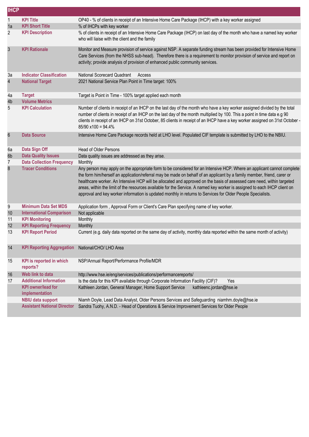| <b>IHCP</b>    |                                             |                                                                                                                                                                                                                                                                                                                                                                                                                                                                                                                                                                                                                         |
|----------------|---------------------------------------------|-------------------------------------------------------------------------------------------------------------------------------------------------------------------------------------------------------------------------------------------------------------------------------------------------------------------------------------------------------------------------------------------------------------------------------------------------------------------------------------------------------------------------------------------------------------------------------------------------------------------------|
| 1              | <b>KPI Title</b>                            | OP40 - % of clients in receipt of an Intensive Home Care Package (IHCP) with a key worker assigned                                                                                                                                                                                                                                                                                                                                                                                                                                                                                                                      |
| 1a             | <b>KPI Short Title</b>                      | % of IHCPs with key worker                                                                                                                                                                                                                                                                                                                                                                                                                                                                                                                                                                                              |
| 2              | <b>KPI Description</b>                      | % of clients in receipt of an Intensive Home Care Package (IHCP) on last day of the month who have a named key worker<br>who will liaise with the client and the family                                                                                                                                                                                                                                                                                                                                                                                                                                                 |
| $\mathfrak{S}$ | <b>KPI Rationale</b>                        | Monitor and Measure provision of service against NSP. A separate funding stream has been provided for Intensive Home<br>Care Services (from the NHSS sub-head). Therefore there is a requirement to monitor provision of service and report on<br>activity; provide analysis of provision of enhanced public community services.                                                                                                                                                                                                                                                                                        |
| 3a             | <b>Indicator Classification</b>             | <b>National Scorecard Quadrant</b><br>Access                                                                                                                                                                                                                                                                                                                                                                                                                                                                                                                                                                            |
| 4              | <b>National Target</b>                      | 2021 National Service Plan Point in Time target: 100%                                                                                                                                                                                                                                                                                                                                                                                                                                                                                                                                                                   |
| 4a             | <b>Target</b>                               | Target is Point in Time - 100% target applied each month                                                                                                                                                                                                                                                                                                                                                                                                                                                                                                                                                                |
| 4b             | <b>Volume Metrics</b>                       |                                                                                                                                                                                                                                                                                                                                                                                                                                                                                                                                                                                                                         |
| 5              | <b>KPI Calculation</b>                      | Number of clients in receipt of an IHCP on the last day of the month who have a key worker assigned divided by the total<br>number of clients in receipt of an IHCP on the last day of the month multiplied by 100. This a point in time data e.g 90<br>clients in receipt of an IHCP on 31st October, 85 clients in receipt of an IHCP have a key worker assigned on 31st October -<br>$85/90 \times 100 = 94.4\%$                                                                                                                                                                                                     |
| $6\,$          | <b>Data Source</b>                          | Intensive Home Care Package records held at LHO level. Populated CIF template is submitted by LHO to the NBIU.                                                                                                                                                                                                                                                                                                                                                                                                                                                                                                          |
| 6a             | Data Sign Off                               | <b>Head of Older Persons</b>                                                                                                                                                                                                                                                                                                                                                                                                                                                                                                                                                                                            |
| 6b             | <b>Data Quality Issues</b>                  | Data quality issues are addressed as they arise.                                                                                                                                                                                                                                                                                                                                                                                                                                                                                                                                                                        |
| 7              | <b>Data Collection Frequency</b>            | Monthly                                                                                                                                                                                                                                                                                                                                                                                                                                                                                                                                                                                                                 |
| 8              | <b>Tracer Conditions</b>                    | Any person may apply on the appropriate form to be considered for an Intensive HCP. Where an applicant cannot complete<br>the form him/herself an application/referral may be made on behalf of an applicant by a family member, friend, carer or<br>healthcare worker. An Intensive HCP will be allocated and approved on the basis of assessed care need, within targeted<br>areas, within the limit of the resources available for the Service. A named key worker is assigned to each IHCP client on<br>approval and key worker information is updated monthly in returns to Services for Older People Specialists. |
| 9              | <b>Minimum Data Set MDS</b>                 | Application form, Approval Form or Client's Care Plan specifying name of key worker.                                                                                                                                                                                                                                                                                                                                                                                                                                                                                                                                    |
| 10             | <b>International Comparison</b>             | Not applicable                                                                                                                                                                                                                                                                                                                                                                                                                                                                                                                                                                                                          |
| 11             | <b>KPI Monitoring</b>                       | Monthly                                                                                                                                                                                                                                                                                                                                                                                                                                                                                                                                                                                                                 |
| 12             | <b>KPI Reporting Frequency</b>              | Monthly                                                                                                                                                                                                                                                                                                                                                                                                                                                                                                                                                                                                                 |
| 13             | <b>KPI Report Period</b>                    | Current (e.g. daily data reported on the same day of activity, monthly data reported within the same month of activity)                                                                                                                                                                                                                                                                                                                                                                                                                                                                                                 |
| 14             | <b>KPI Reporting Aggregation</b>            | National/CHO/ LHO Area                                                                                                                                                                                                                                                                                                                                                                                                                                                                                                                                                                                                  |
| 15             | <b>KPI</b> is reported in which<br>reports? | NSP/Annual Report/Performance Profile/MDR                                                                                                                                                                                                                                                                                                                                                                                                                                                                                                                                                                               |
| 16             | Web link to data                            | http://www.hse.ie/eng/services/publications/performancereports/                                                                                                                                                                                                                                                                                                                                                                                                                                                                                                                                                         |
| 17             | <b>Additional Information</b>               | Is the data for this KPI available through Corporate Information Facility (CIF)?<br>Yes                                                                                                                                                                                                                                                                                                                                                                                                                                                                                                                                 |
|                | <b>KPI</b> owner/lead for<br>implementation | Kathleen Jordan, General Manager, Home Support Service<br>kathleenc.jordan@hse.ie                                                                                                                                                                                                                                                                                                                                                                                                                                                                                                                                       |
|                | <b>NBIU data support</b>                    | Niamh Doyle, Lead Data Analyst, Older Persons Services and Safeguarding niamhm.doyle@hse.ie                                                                                                                                                                                                                                                                                                                                                                                                                                                                                                                             |
|                | <b>Assistant National Director</b>          | Sandra Tuohy, A.N.D. - Head of Operations & Service Improvement Services for Older People                                                                                                                                                                                                                                                                                                                                                                                                                                                                                                                               |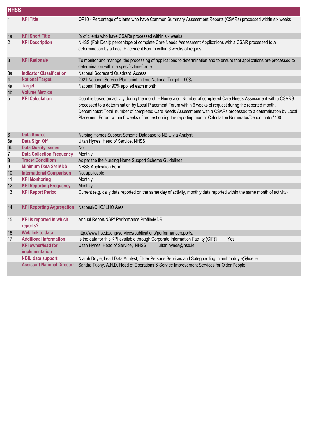| <b>NHSS</b>             |                                             |                                                                                                                                                                                                                                                                                                                                                                                                                                                                   |
|-------------------------|---------------------------------------------|-------------------------------------------------------------------------------------------------------------------------------------------------------------------------------------------------------------------------------------------------------------------------------------------------------------------------------------------------------------------------------------------------------------------------------------------------------------------|
| 1                       | <b>KPI Title</b>                            | OP10 - Percentage of clients who have Common Summary Assessment Reports (CSARs) processed within six weeks                                                                                                                                                                                                                                                                                                                                                        |
| 1a                      | <b>KPI Short Title</b>                      | % of clients who have CSARs processed within six weeks                                                                                                                                                                                                                                                                                                                                                                                                            |
| $\overline{2}$          | <b>KPI Description</b>                      | NHSS (Fair Deal): percentage of complete Care Needs Assessment Applications with a CSAR processed to a<br>determination by a Local Placement Forum within 6 weeks of request.                                                                                                                                                                                                                                                                                     |
| $\sqrt{3}$              | <b>KPI Rationale</b>                        | To monitor and manage the processing of applications to determination and to ensure that applications are processed to<br>determination within a specific timeframe.                                                                                                                                                                                                                                                                                              |
| За                      | <b>Indicator Classification</b>             | National Scorecard Quadrant Access                                                                                                                                                                                                                                                                                                                                                                                                                                |
| $\overline{\mathbf{4}}$ | <b>National Target</b>                      | 2021 National Service Plan point in time National Target - 90%.                                                                                                                                                                                                                                                                                                                                                                                                   |
| 4a                      | <b>Target</b>                               | National Target of 90% applied each month                                                                                                                                                                                                                                                                                                                                                                                                                         |
| 4b                      | <b>Volume Metrics</b>                       |                                                                                                                                                                                                                                                                                                                                                                                                                                                                   |
| 5                       | <b>KPI Calculation</b>                      | Count is based on activity during the month. - Numerator :Number of completed Care Needs Assessment with a CSARS<br>processed to a determination by Local Placement Forum within 6 weeks of request during the reported month.<br>Denominator: Total number of completed Care Needs Assessments with a CSARs processed to a determination by Local<br>Placement Forum within 6 weeks of request during the reporting month. Calculation Numerator/Denominator*100 |
| $6\phantom{.}6$         | <b>Data Source</b>                          | Nursing Homes Support Scheme Database to NBIU via Analyst                                                                                                                                                                                                                                                                                                                                                                                                         |
| 6a                      | Data Sign Off                               | Ultan Hynes, Head of Service, NHSS                                                                                                                                                                                                                                                                                                                                                                                                                                |
| 6b                      | <b>Data Quality Issues</b>                  | <b>No</b>                                                                                                                                                                                                                                                                                                                                                                                                                                                         |
| $\overline{7}$          | <b>Data Collection Frequency</b>            | Monthly                                                                                                                                                                                                                                                                                                                                                                                                                                                           |
| $\bf 8$                 | <b>Tracer Conditions</b>                    | As per the the Nursing Home Support Scheme Guidelines                                                                                                                                                                                                                                                                                                                                                                                                             |
| 9                       | <b>Minimum Data Set MDS</b>                 | <b>NHSS Application Form</b>                                                                                                                                                                                                                                                                                                                                                                                                                                      |
| 10                      | <b>International Comparison</b>             | Not applicable                                                                                                                                                                                                                                                                                                                                                                                                                                                    |
| 11                      | <b>KPI Monitoring</b>                       | Monthly                                                                                                                                                                                                                                                                                                                                                                                                                                                           |
| 12                      | <b>KPI Reporting Frequency</b>              | Monthly                                                                                                                                                                                                                                                                                                                                                                                                                                                           |
| 13                      | <b>KPI Report Period</b>                    | Current (e.g. daily data reported on the same day of activity, monthly data reported within the same month of activity)                                                                                                                                                                                                                                                                                                                                           |
| 14                      | <b>KPI Reporting Aggregation</b>            | National/CHO/ LHO Area                                                                                                                                                                                                                                                                                                                                                                                                                                            |
| 15                      | <b>KPI</b> is reported in which<br>reports? | Annual Report/NSP/ Performance Profile/MDR                                                                                                                                                                                                                                                                                                                                                                                                                        |
| 16                      | Web link to data                            | http://www.hse.ie/eng/services/publications/performancereports/                                                                                                                                                                                                                                                                                                                                                                                                   |
| 17                      | <b>Additional Information</b>               | Is the data for this KPI available through Corporate Information Facility (CIF)?<br>Yes                                                                                                                                                                                                                                                                                                                                                                           |
|                         | <b>KPI owner/lead for</b><br>implementation | Ultan Hynes, Head of Service, NHSS<br>ultan.hynes@hse.ie                                                                                                                                                                                                                                                                                                                                                                                                          |
|                         | <b>NBIU data support</b>                    | Niamh Doyle, Lead Data Analyst, Older Persons Services and Safeguarding niamhm.doyle@hse.ie                                                                                                                                                                                                                                                                                                                                                                       |
|                         | <b>Assistant National Director</b>          | Sandra Tuohy, A.N.D. Head of Operations & Service Improvement Services for Older People                                                                                                                                                                                                                                                                                                                                                                           |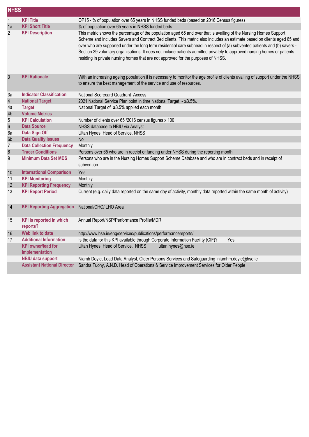| <b>NHSS</b>     |                                                                              |                                                                                                                                                                                                                                                                                                                                                                                                                                                                                                                                                                                             |  |
|-----------------|------------------------------------------------------------------------------|---------------------------------------------------------------------------------------------------------------------------------------------------------------------------------------------------------------------------------------------------------------------------------------------------------------------------------------------------------------------------------------------------------------------------------------------------------------------------------------------------------------------------------------------------------------------------------------------|--|
| $\mathbf{1}$    | <b>KPI Title</b>                                                             | OP15 - % of population over 65 years in NHSS funded beds (based on 2016 Census figures)                                                                                                                                                                                                                                                                                                                                                                                                                                                                                                     |  |
| 1a              | <b>KPI Short Title</b>                                                       | % of population over 65 years in NHSS funded beds                                                                                                                                                                                                                                                                                                                                                                                                                                                                                                                                           |  |
| $\overline{c}$  | <b>KPI Description</b>                                                       | This metric shows the percentage of the population aged 65 and over that is availing of the Nursing Homes Support<br>Scheme and includes Savers and Contract Bed clients. This metric also includes an estimate based on clients aged 65 and<br>over who are supported under the long term residential care subhead in respect of (a) subvented patients and (b) savers -<br>Section 39 voluntary organisations. It does not include patients admitted privately to approved nursing homes or patients<br>residing in private nursing homes that are not approved for the purposes of NHSS. |  |
| $\mathfrak{S}$  | <b>KPI Rationale</b>                                                         | With an increasing ageing population it is necessary to monitor the age profile of clients availing of support under the NHSS<br>to ensure the best management of the service and use of resources.                                                                                                                                                                                                                                                                                                                                                                                         |  |
| За              | <b>Indicator Classification</b>                                              | National Scorecard Quadrant Access                                                                                                                                                                                                                                                                                                                                                                                                                                                                                                                                                          |  |
| 4               | <b>National Target</b>                                                       | 2021 National Service Plan point in time National Target - ≤3.5%.                                                                                                                                                                                                                                                                                                                                                                                                                                                                                                                           |  |
| 4a              | <b>Target</b>                                                                | National Target of ≤3.5% applied each month                                                                                                                                                                                                                                                                                                                                                                                                                                                                                                                                                 |  |
| 4b              | <b>Volume Metrics</b>                                                        |                                                                                                                                                                                                                                                                                                                                                                                                                                                                                                                                                                                             |  |
| 5               | <b>KPI Calculation</b>                                                       | Number of clients over 65 /2016 census figures x 100                                                                                                                                                                                                                                                                                                                                                                                                                                                                                                                                        |  |
| 6               | <b>Data Source</b>                                                           | NHSS database to NBIU via Analyst                                                                                                                                                                                                                                                                                                                                                                                                                                                                                                                                                           |  |
| 6a              | Data Sign Off                                                                | Ultan Hynes, Head of Service, NHSS                                                                                                                                                                                                                                                                                                                                                                                                                                                                                                                                                          |  |
| 6b              | <b>Data Quality Issues</b>                                                   | <b>No</b>                                                                                                                                                                                                                                                                                                                                                                                                                                                                                                                                                                                   |  |
| 7               | <b>Data Collection Frequency</b>                                             | Monthly                                                                                                                                                                                                                                                                                                                                                                                                                                                                                                                                                                                     |  |
| 8               | <b>Tracer Conditions</b>                                                     | Persons over 65 who are in receipt of funding under NHSS during the reporting month.                                                                                                                                                                                                                                                                                                                                                                                                                                                                                                        |  |
| 9               | <b>Minimum Data Set MDS</b>                                                  | Persons who are in the Nursing Homes Support Scheme Database and who are in contract beds and in receipt of<br>subvention                                                                                                                                                                                                                                                                                                                                                                                                                                                                   |  |
| 10 <sup>°</sup> | <b>International Comparison</b>                                              | Yes                                                                                                                                                                                                                                                                                                                                                                                                                                                                                                                                                                                         |  |
| 11              | <b>KPI Monitoring</b>                                                        | Monthly                                                                                                                                                                                                                                                                                                                                                                                                                                                                                                                                                                                     |  |
| 12              | <b>KPI Reporting Frequency</b>                                               | Monthly                                                                                                                                                                                                                                                                                                                                                                                                                                                                                                                                                                                     |  |
| 13              | <b>KPI Report Period</b>                                                     | Current (e.g. daily data reported on the same day of activity, monthly data reported within the same month of activity)                                                                                                                                                                                                                                                                                                                                                                                                                                                                     |  |
| 14              | <b>KPI Reporting Aggregation</b>                                             | National/CHO/ LHO Area                                                                                                                                                                                                                                                                                                                                                                                                                                                                                                                                                                      |  |
| 15              | <b>KPI</b> is reported in which<br>reports?                                  | Annual Report/NSP/Performance Profile/MDR                                                                                                                                                                                                                                                                                                                                                                                                                                                                                                                                                   |  |
| 16              | Web link to data                                                             | http://www.hse.ie/eng/services/publications/performancereports/                                                                                                                                                                                                                                                                                                                                                                                                                                                                                                                             |  |
| 17              | <b>Additional Information</b><br><b>KPI owner/lead for</b><br>implementation | Is the data for this KPI available through Corporate Information Facility (CIF)?<br>Yes<br>Ultan Hynes, Head of Service, NHSS<br>ultan.hynes@hse.ie                                                                                                                                                                                                                                                                                                                                                                                                                                         |  |
|                 | <b>NBIU data support</b>                                                     | Niamh Doyle, Lead Data Analyst, Older Persons Services and Safeguarding niamhm.doyle@hse.ie                                                                                                                                                                                                                                                                                                                                                                                                                                                                                                 |  |
|                 | <b>Assistant National Director</b>                                           | Sandra Tuohy, A.N.D. Head of Operations & Service Improvement Services for Older People                                                                                                                                                                                                                                                                                                                                                                                                                                                                                                     |  |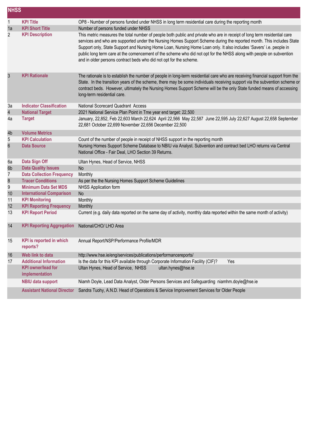| <b>NHSS</b>     |                                             |                                                                                                                                                                                                                                                                                                                                                                                                                                                                                                                                                                      |
|-----------------|---------------------------------------------|----------------------------------------------------------------------------------------------------------------------------------------------------------------------------------------------------------------------------------------------------------------------------------------------------------------------------------------------------------------------------------------------------------------------------------------------------------------------------------------------------------------------------------------------------------------------|
| $\mathbf{1}$    | <b>KPI Title</b>                            | OP8 - Number of persons funded under NHSS in long term residential care during the reporting month                                                                                                                                                                                                                                                                                                                                                                                                                                                                   |
| 1a              | <b>KPI Short Title</b>                      | Number of persons funded under NHSS                                                                                                                                                                                                                                                                                                                                                                                                                                                                                                                                  |
| 2               | <b>KPI Description</b>                      | This metric measures the total number of people both public and private who are in receipt of long term residential care<br>services and who are supported under the Nursing Homes Support Scheme during the reported month. This includes State<br>Support only, State Support and Nursing Home Loan, Nursing Home Loan only. It also includes 'Savers' i.e. people in<br>public long term care at the comencement of the scheme who did not opt for the NHSS along with people on subvention<br>and in older persons contract beds who did not opt for the scheme. |
| $\mathfrak{Z}$  | <b>KPI Rationale</b>                        | The rationale is to establish the number of people in long-term residential care who are receiving financial support from the<br>State. In the transition years of the scheme, there may be some individuals receiving support via the subvention scheme or<br>contract beds. However, ultimately the Nursing Homes Support Scheme will be the only State funded means of accessing<br>long-term residential care.                                                                                                                                                   |
| 3a              | <b>Indicator Classification</b>             | National Scorecard Quadrant Access                                                                                                                                                                                                                                                                                                                                                                                                                                                                                                                                   |
| 4               | <b>National Target</b>                      | 2021 National Service Plan Point in Tme year end target: 22,500                                                                                                                                                                                                                                                                                                                                                                                                                                                                                                      |
| 4a              | <b>Target</b>                               | January, 22,852, Feb 22,603 March 22,624 April 22,566 May 22,587 June 22,595 July 22,627 August 22,658 September<br>22,681 October 22,699 November 22,656 December 22,500                                                                                                                                                                                                                                                                                                                                                                                            |
| 4b              | <b>Volume Metrics</b>                       |                                                                                                                                                                                                                                                                                                                                                                                                                                                                                                                                                                      |
| 5               | <b>KPI Calculation</b>                      | Count of the number of people in receipt of NHSS support in the reporting month                                                                                                                                                                                                                                                                                                                                                                                                                                                                                      |
| 6               | <b>Data Source</b>                          | Nursing Homes Support Scheme Database to NBIU via Analyst. Subvention and contract bed LHO returns via Central<br>National Office - Fair Deal, LHO Section 39 Returns.                                                                                                                                                                                                                                                                                                                                                                                               |
| 6a              | Data Sign Off                               | Ultan Hynes, Head of Service, NHSS                                                                                                                                                                                                                                                                                                                                                                                                                                                                                                                                   |
| 6b              | <b>Data Quality Issues</b>                  | <b>No</b>                                                                                                                                                                                                                                                                                                                                                                                                                                                                                                                                                            |
| 7               | <b>Data Collection Frequency</b>            | Monthly                                                                                                                                                                                                                                                                                                                                                                                                                                                                                                                                                              |
| 8               | <b>Tracer Conditions</b>                    | As per the the Nursing Homes Support Scheme Guidelines                                                                                                                                                                                                                                                                                                                                                                                                                                                                                                               |
| 9               | <b>Minimum Data Set MDS</b>                 | <b>NHSS Application form</b>                                                                                                                                                                                                                                                                                                                                                                                                                                                                                                                                         |
| 10 <sup>1</sup> | <b>International Comparison</b>             | <b>No</b>                                                                                                                                                                                                                                                                                                                                                                                                                                                                                                                                                            |
| 11              | <b>KPI Monitoring</b>                       | Monthly                                                                                                                                                                                                                                                                                                                                                                                                                                                                                                                                                              |
| 12              | <b>KPI Reporting Frequency</b>              | Monthly                                                                                                                                                                                                                                                                                                                                                                                                                                                                                                                                                              |
| 13              | <b>KPI Report Period</b>                    | Current (e.g. daily data reported on the same day of activity, monthly data reported within the same month of activity)                                                                                                                                                                                                                                                                                                                                                                                                                                              |
| 14              | <b>KPI Reporting Aggregation</b>            | National/CHO/ LHO Area                                                                                                                                                                                                                                                                                                                                                                                                                                                                                                                                               |
| 15              | <b>KPI</b> is reported in which<br>reports? | Annual Report/NSP/Performance Profile/MDR                                                                                                                                                                                                                                                                                                                                                                                                                                                                                                                            |
| 16              | Web link to data                            | http://www.hse.ie/eng/services/publications/performancereports/                                                                                                                                                                                                                                                                                                                                                                                                                                                                                                      |
| 17              | <b>Additional Information</b>               | Is the data for this KPI available through Corporate Information Facility (CIF)?<br>Yes                                                                                                                                                                                                                                                                                                                                                                                                                                                                              |
|                 | <b>KPI owner/lead for</b><br>implementation | Ultan Hynes, Head of Service, NHSS<br>ultan.hynes@hse.ie                                                                                                                                                                                                                                                                                                                                                                                                                                                                                                             |
|                 | <b>NBIU data support</b>                    | Niamh Doyle, Lead Data Analyst, Older Persons Services and Safeguarding niamhm.doyle@hse.ie                                                                                                                                                                                                                                                                                                                                                                                                                                                                          |
|                 | <b>Assistant National Director</b>          | Sandra Tuohy, A.N.D. Head of Operations & Service Improvement Services for Older People                                                                                                                                                                                                                                                                                                                                                                                                                                                                              |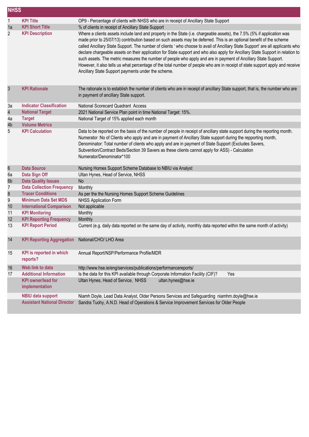| <b>NHSS</b>    |                                                                              |                                                                                                                                                                                                                                                                                                                                                                                                                                                                                                                                                                                                                                                                                                                                                                                                                              |
|----------------|------------------------------------------------------------------------------|------------------------------------------------------------------------------------------------------------------------------------------------------------------------------------------------------------------------------------------------------------------------------------------------------------------------------------------------------------------------------------------------------------------------------------------------------------------------------------------------------------------------------------------------------------------------------------------------------------------------------------------------------------------------------------------------------------------------------------------------------------------------------------------------------------------------------|
| $\mathbf{1}$   | <b>KPI Title</b>                                                             | OP9 - Percentage of clients with NHSS who are in receipt of Ancillary State Support                                                                                                                                                                                                                                                                                                                                                                                                                                                                                                                                                                                                                                                                                                                                          |
| 1a             | <b>KPI Short Title</b>                                                       | % of clients in receipt of Ancillary State Support                                                                                                                                                                                                                                                                                                                                                                                                                                                                                                                                                                                                                                                                                                                                                                           |
| $\overline{c}$ | <b>KPI Description</b>                                                       | Where a clients assets include land and property in the State (i.e. chargeable assets), the 7.5% (5% if application was<br>made prior to 25/07/13) contribution based on such assets may be deferred. This is an optional benefit of the scheme<br>called Ancillary State Support. The number of clients ' who choose to avail of Ancillary State Support' are all applicants who<br>declare chargeable assets on their application for State support and who also apply for Ancillary State Support in relation to<br>such assets. The metric measures the number of people who apply and are in payment of Ancillary State Support.<br>However, it also tells us what percentage of the total number of people who are in receipt of state support apply and receive<br>Ancillary State Support payments under the scheme. |
| 3              | <b>KPI Rationale</b>                                                         | The rationale is to establish the number of clients who are in receipt of ancillary State support, that is, the number who are<br>in payment of ancillary State support.                                                                                                                                                                                                                                                                                                                                                                                                                                                                                                                                                                                                                                                     |
| 3a             | <b>Indicator Classification</b>                                              | National Scorecard Quadrant Access                                                                                                                                                                                                                                                                                                                                                                                                                                                                                                                                                                                                                                                                                                                                                                                           |
| 4              | <b>National Target</b>                                                       | 2021 National Service Plan point in time National Target: 15%.                                                                                                                                                                                                                                                                                                                                                                                                                                                                                                                                                                                                                                                                                                                                                               |
| 4a             | <b>Target</b>                                                                | National Target of 15% applied each month                                                                                                                                                                                                                                                                                                                                                                                                                                                                                                                                                                                                                                                                                                                                                                                    |
| 4b             | <b>Volume Metrics</b>                                                        |                                                                                                                                                                                                                                                                                                                                                                                                                                                                                                                                                                                                                                                                                                                                                                                                                              |
| 5              | <b>KPI Calculation</b>                                                       | Data to be reported on the basis of the number of people in receipt of ancillary state support during the reporting month.<br>Numerator : No of Clients who apply and are in payment of Ancillary State support during the repporting month,<br>Denominator: Total number of clients who apply and are in payment of State Support (Excludes Savers,<br>Subvention/Contract Beds/Section 39 Savers as these clients cannot apply for ASS) - Calculation<br>Numerator/Denominator*100                                                                                                                                                                                                                                                                                                                                         |
| 6              | <b>Data Source</b>                                                           | Nursing Homes Support Scheme Database to NBIU via Analyst                                                                                                                                                                                                                                                                                                                                                                                                                                                                                                                                                                                                                                                                                                                                                                    |
| 6a             | Data Sign Off                                                                | Ultan Hynes, Head of Service, NHSS                                                                                                                                                                                                                                                                                                                                                                                                                                                                                                                                                                                                                                                                                                                                                                                           |
| 6b             | <b>Data Quality Issues</b>                                                   | <b>No</b>                                                                                                                                                                                                                                                                                                                                                                                                                                                                                                                                                                                                                                                                                                                                                                                                                    |
| $\overline{I}$ | <b>Data Collection Frequency</b>                                             | Monthly                                                                                                                                                                                                                                                                                                                                                                                                                                                                                                                                                                                                                                                                                                                                                                                                                      |
| 8              | <b>Tracer Conditions</b>                                                     | As per the the Nursing Homes Support Scheme Guidelines                                                                                                                                                                                                                                                                                                                                                                                                                                                                                                                                                                                                                                                                                                                                                                       |
| 9              | <b>Minimum Data Set MDS</b>                                                  | <b>NHSS Application Form</b>                                                                                                                                                                                                                                                                                                                                                                                                                                                                                                                                                                                                                                                                                                                                                                                                 |
| 10             | <b>International Comparison</b>                                              | Not applicable                                                                                                                                                                                                                                                                                                                                                                                                                                                                                                                                                                                                                                                                                                                                                                                                               |
| 11             | <b>KPI Monitoring</b>                                                        | Monthly                                                                                                                                                                                                                                                                                                                                                                                                                                                                                                                                                                                                                                                                                                                                                                                                                      |
| 12             | <b>KPI Reporting Frequency</b>                                               | Monthly                                                                                                                                                                                                                                                                                                                                                                                                                                                                                                                                                                                                                                                                                                                                                                                                                      |
| 13             | <b>KPI Report Period</b>                                                     | Current (e.g. daily data reported on the same day of activity, monthly data reported within the same month of activity)                                                                                                                                                                                                                                                                                                                                                                                                                                                                                                                                                                                                                                                                                                      |
| 14             | KPI Reporting Aggregation National/CHO/ LHO Area                             |                                                                                                                                                                                                                                                                                                                                                                                                                                                                                                                                                                                                                                                                                                                                                                                                                              |
| 15             | <b>KPI</b> is reported in which<br>reports?                                  | Annual Report/NSP/Performance Profile/MDR                                                                                                                                                                                                                                                                                                                                                                                                                                                                                                                                                                                                                                                                                                                                                                                    |
| 16             | Web link to data                                                             | http://www.hse.ie/eng/services/publications/performancereports/                                                                                                                                                                                                                                                                                                                                                                                                                                                                                                                                                                                                                                                                                                                                                              |
| 17             | <b>Additional Information</b><br><b>KPI owner/lead for</b><br>implementation | Is the data for this KPI available through Corporate Information Facility (CIF)?<br>Yes<br>Ultan Hynes, Head of Service, NHSS<br>ultan.hynes@hse.ie                                                                                                                                                                                                                                                                                                                                                                                                                                                                                                                                                                                                                                                                          |
|                | <b>NBIU data support</b>                                                     | Niamh Doyle, Lead Data Analyst, Older Persons Services and Safeguarding niamhm.doyle@hse.ie                                                                                                                                                                                                                                                                                                                                                                                                                                                                                                                                                                                                                                                                                                                                  |
|                | <b>Assistant National Director</b>                                           | Sandra Tuohy, A.N.D. Head of Operations & Service Improvement Services for Older People                                                                                                                                                                                                                                                                                                                                                                                                                                                                                                                                                                                                                                                                                                                                      |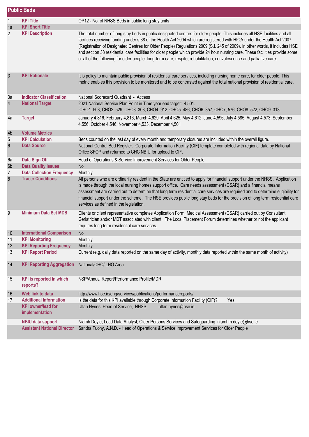|                         | <b>Public Beds</b>                          |                                                                                                                                                                                                                                                                                                                                                                                                                                                                                                                                                                                                                                               |
|-------------------------|---------------------------------------------|-----------------------------------------------------------------------------------------------------------------------------------------------------------------------------------------------------------------------------------------------------------------------------------------------------------------------------------------------------------------------------------------------------------------------------------------------------------------------------------------------------------------------------------------------------------------------------------------------------------------------------------------------|
| $\mathbf{1}$            | <b>KPI Title</b>                            | OP12 - No. of NHSS Beds in public long stay units                                                                                                                                                                                                                                                                                                                                                                                                                                                                                                                                                                                             |
| 1a                      | <b>KPI Short Title</b>                      |                                                                                                                                                                                                                                                                                                                                                                                                                                                                                                                                                                                                                                               |
| 2                       | <b>KPI Description</b>                      | The total number of long stay beds in public designated centres for older people -This includes all HSE facilities and all<br>facilities receiving funding under s.38 of the Health Act 2004 which are registered with HIQA under the Health Act 2007<br>(Registration of Designated Centres for Older People) Regulations 2009 (S.I. 245 of 2009). In other words, it includes HSE<br>and section 38 residential care facilities for older people which provide 24 hour nursing care. These facilities provide some<br>or all of the following for older people: long-term care, respite, rehabilitation, convalescence and palliative care. |
| $\mathfrak{Z}$          | <b>KPI Rationale</b>                        | It is policy to maintain public provision of residential care services, including nursing home care, for older people. This<br>metric enables this provision to be monitored and to be contrasted against the total national provision of residential care.                                                                                                                                                                                                                                                                                                                                                                                   |
| 3a                      | <b>Indicator Classification</b>             | National Scorecard Quadrant - Access                                                                                                                                                                                                                                                                                                                                                                                                                                                                                                                                                                                                          |
| $\overline{\mathbf{4}}$ | <b>National Target</b>                      | 2021 National Service Plan Point in Time year end target: 4,501.<br>CHO1: 503, CHO2: 529, CHO3: 303, CHO4: 912, CHO5: 486, CHO6: 357, CHO7; 576, CHO8: 522, CHO9: 313.                                                                                                                                                                                                                                                                                                                                                                                                                                                                        |
| 4a                      | <b>Target</b>                               | January 4,816, February 4,816, March 4,629, April 4,625, May 4,612, June 4,596, July 4,585, August 4,573, September<br>4,556, October 4,546, November 4,533, December 4,501                                                                                                                                                                                                                                                                                                                                                                                                                                                                   |
| 4b                      | <b>Volume Metrics</b>                       |                                                                                                                                                                                                                                                                                                                                                                                                                                                                                                                                                                                                                                               |
| 5                       | <b>KPI Calculation</b>                      | Beds counted on the last day of every month and temporary closures are included within the overall figure.                                                                                                                                                                                                                                                                                                                                                                                                                                                                                                                                    |
| $6\,$                   | <b>Data Source</b>                          | National Central Bed Register. Corporate Information Facility (CIF) template completed with regional data by National<br>Office SFOP and returned to CHC NBIU for upload to CIF.                                                                                                                                                                                                                                                                                                                                                                                                                                                              |
| 6a                      | Data Sign Off                               | Head of Operations & Service Improvement Services for Older People                                                                                                                                                                                                                                                                                                                                                                                                                                                                                                                                                                            |
| 6b                      | <b>Data Quality Issues</b>                  | <b>No</b>                                                                                                                                                                                                                                                                                                                                                                                                                                                                                                                                                                                                                                     |
| 7                       | <b>Data Collection Frequency</b>            | Monthly                                                                                                                                                                                                                                                                                                                                                                                                                                                                                                                                                                                                                                       |
| 8                       | <b>Tracer Conditions</b>                    | All persons who are ordinarily resident in the State are entitled to apply for financial support under the NHSS. Application<br>is made through the local nursing homes support office. Care needs assessment (CSAR) and a financial means<br>assessment are carried out to determine that long term residential care services are required and to determine eligibility for<br>financial support under the scheme. The HSE provides public long stay beds for the provision of long term residential care<br>services as defined in the legislation.                                                                                         |
| 9                       | <b>Minimum Data Set MDS</b>                 | Clients or client representative completes Application Form. Medical Assessment (CSAR) carried out by Consultant<br>Geriatrician and/or MDT associated with client. The Local Placement Forum determines whether or not the applicant<br>requires long term residential care services.                                                                                                                                                                                                                                                                                                                                                        |
| 10                      | <b>International Comparison</b>             | N <sub>o</sub>                                                                                                                                                                                                                                                                                                                                                                                                                                                                                                                                                                                                                                |
| 11                      | <b>KPI Monitoring</b>                       | Monthly                                                                                                                                                                                                                                                                                                                                                                                                                                                                                                                                                                                                                                       |
| 12                      | <b>KPI Reporting Frequency</b>              | Monthly                                                                                                                                                                                                                                                                                                                                                                                                                                                                                                                                                                                                                                       |
| 13                      | <b>KPI Report Period</b>                    | Current (e.g. daily data reported on the same day of activity, monthly data reported within the same month of activity)                                                                                                                                                                                                                                                                                                                                                                                                                                                                                                                       |
| 14                      | <b>KPI Reporting Aggregation</b>            | National/CHO/ LHO Area                                                                                                                                                                                                                                                                                                                                                                                                                                                                                                                                                                                                                        |
| 15                      | <b>KPI</b> is reported in which<br>reports? | NSP/Annual Report/Performance Profile/MDR                                                                                                                                                                                                                                                                                                                                                                                                                                                                                                                                                                                                     |
| 16                      | Web link to data                            | http://www.hse.ie/eng/services/publications/performancereports/                                                                                                                                                                                                                                                                                                                                                                                                                                                                                                                                                                               |
| 17                      | <b>Additional Information</b>               | Is the data for this KPI available through Corporate Information Facility (CIF)?<br>Yes                                                                                                                                                                                                                                                                                                                                                                                                                                                                                                                                                       |
|                         | <b>KPI</b> owner/lead for<br>implementation | Ultan Hynes, Head of Service, NHSS<br>ultan.hynes@hse.ie                                                                                                                                                                                                                                                                                                                                                                                                                                                                                                                                                                                      |
|                         | <b>NBIU data support</b>                    | Niamh Doyle, Lead Data Analyst, Older Persons Services and Safeguarding niamhm.doyle@hse.ie                                                                                                                                                                                                                                                                                                                                                                                                                                                                                                                                                   |
|                         | <b>Assistant National Director</b>          | Sandra Tuohy, A.N.D. - Head of Operations & Service Improvement Services for Older People                                                                                                                                                                                                                                                                                                                                                                                                                                                                                                                                                     |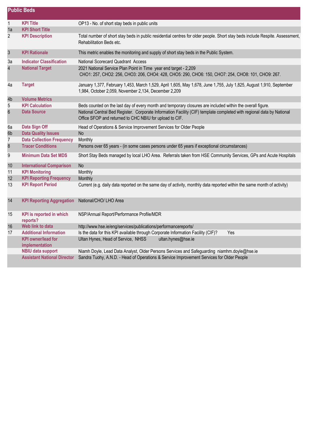|                         | <b>Public Beds</b>                               |                                                                                                                                                                                  |
|-------------------------|--------------------------------------------------|----------------------------------------------------------------------------------------------------------------------------------------------------------------------------------|
| $\mathbf{1}$            | <b>KPI Title</b>                                 | OP13 - No. of short stay beds in public units                                                                                                                                    |
| 1a                      | <b>KPI Short Title</b>                           |                                                                                                                                                                                  |
| 2                       | <b>KPI Description</b>                           | Total number of short stay beds in public residential centres for older people. Short stay beds include Respite. Assessment,<br>Rehabilitation Beds etc.                         |
| 3                       | <b>KPI Rationale</b>                             | This metric enables the monitoring and supply of short stay beds in the Public System.                                                                                           |
| За                      | <b>Indicator Classification</b>                  | National Scorecard Quadrant Access                                                                                                                                               |
| $\overline{\mathbf{4}}$ | <b>National Target</b>                           | 2021 National Service Plan Point in Time year end target - 2,209<br>CHO1: 257, CHO2: 256, CHO3: 206, CHO4: 428, CHO5: 290, CHO6: 150, CHO7: 254, CHO8: 101, CHO9: 267.           |
| 4a                      | <b>Target</b>                                    | January 1,377, February 1,453, March 1,529, April 1,605, May 1,678, June 1,755, July 1,825, August 1,910, September<br>1,984, October 2,059, November 2,134, December 2,209      |
| 4b                      | <b>Volume Metrics</b>                            |                                                                                                                                                                                  |
| 5                       | <b>KPI Calculation</b>                           | Beds counted on the last day of every month and temporary closures are included within the overall figure.                                                                       |
| $6\,$                   | <b>Data Source</b>                               | National Central Bed Register. Corporate Information Facility (CIF) template completed with regional data by National<br>Office SFOP and returned to CHC NBIU for upload to CIF. |
| 6a                      | Data Sign Off                                    | Head of Operations & Service Improvement Services for Older People                                                                                                               |
| 6b                      | <b>Data Quality Issues</b>                       | <b>No</b>                                                                                                                                                                        |
| 7                       | <b>Data Collection Frequency</b>                 | Monthly                                                                                                                                                                          |
| $\boldsymbol{8}$        | <b>Tracer Conditions</b>                         | Persons over 65 years - (in some cases persons under 65 years if exceptional circumstances)                                                                                      |
| 9                       | <b>Minimum Data Set MDS</b>                      | Short Stay Beds managed by local LHO Area. Referrals taken from HSE Community Services, GPs and Acute Hospitals                                                                  |
| 10                      | <b>International Comparison</b>                  | <b>No</b>                                                                                                                                                                        |
| 11                      | <b>KPI Monitoring</b>                            | Monthly                                                                                                                                                                          |
| 12                      | <b>KPI Reporting Frequency</b>                   | Monthly                                                                                                                                                                          |
| 13                      | <b>KPI Report Period</b>                         | Current (e.g. daily data reported on the same day of activity, monthly data reported within the same month of activity)                                                          |
| 14                      | KPI Reporting Aggregation National/CHO/ LHO Area |                                                                                                                                                                                  |
| 15                      | <b>KPI</b> is reported in which<br>reports?      | NSP/Annual Report/Performance Profile/MDR                                                                                                                                        |
| 16                      | Web link to data                                 | http://www.hse.ie/eng/services/publications/performancereports/                                                                                                                  |
| 17                      | <b>Additional Information</b>                    | Is the data for this KPI available through Corporate Information Facility (CIF)?<br>Yes                                                                                          |
|                         | <b>KPI</b> owner/lead for<br>implementation      | Ultan Hynes, Head of Service, NHSS<br>ultan.hynes@hse.ie                                                                                                                         |
|                         | <b>NBIU data support</b>                         | Niamh Doyle, Lead Data Analyst, Older Persons Services and Safeguarding niamhm.doyle@hse.ie                                                                                      |
|                         | <b>Assistant National Director</b>               | Sandra Tuohy, A.N.D. - Head of Operations & Service Improvement Services for Older People                                                                                        |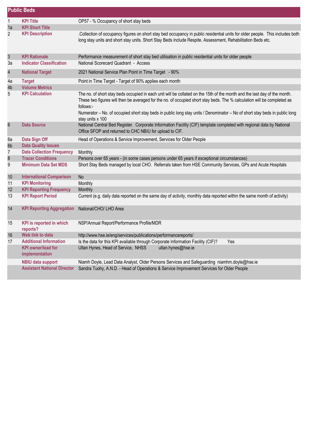| <b>Public Beds</b>      |                                             |                                                                                                                                                                                                                                                                                                                                                                                                                     |  |
|-------------------------|---------------------------------------------|---------------------------------------------------------------------------------------------------------------------------------------------------------------------------------------------------------------------------------------------------------------------------------------------------------------------------------------------------------------------------------------------------------------------|--|
| 1                       | <b>KPI Title</b>                            | OP57 - % Occupancy of short stay beds                                                                                                                                                                                                                                                                                                                                                                               |  |
| 1a                      | <b>KPI Short Title</b>                      |                                                                                                                                                                                                                                                                                                                                                                                                                     |  |
| $\overline{c}$          | <b>KPI Description</b>                      | Collection of occupancy figures on short stay bed occupancy in public residential units for older people. This includes both<br>long stay units and short stay units. Short Stay Beds include Respite. Assessment, Rehabilitation Beds etc.                                                                                                                                                                         |  |
| $\mathfrak{S}$          | <b>KPI Rationale</b>                        | Performance measurement of short stay bed utilisation in public residential units for older people                                                                                                                                                                                                                                                                                                                  |  |
| За                      | <b>Indicator Classification</b>             | National Scorecard Quadrant - Access                                                                                                                                                                                                                                                                                                                                                                                |  |
| $\overline{\mathbf{4}}$ | <b>National Target</b>                      | 2021 National Service Plan Point in Time Target - 90%                                                                                                                                                                                                                                                                                                                                                               |  |
| 4a                      | <b>Target</b>                               | Point in Time Target - Target of 90% applies each month                                                                                                                                                                                                                                                                                                                                                             |  |
| 4b                      | <b>Volume Metrics</b>                       |                                                                                                                                                                                                                                                                                                                                                                                                                     |  |
| 5                       | <b>KPI Calculation</b>                      | The no. of short stay beds occupied in each unit will be collated on the 15th of the month and the last day of the month.<br>These two figures will then be averaged for the no. of occupied short stay beds. The % calculation will be completed as<br>follows:-<br>Numerator - No. of occupied short stay beds in public long stay units / Denominator - No of short stay beds in public long<br>stay units x 100 |  |
| 6                       | <b>Data Source</b>                          | National Central Bed Register. Corporate Information Facility (CIF) template completed with regional data by National<br>Office SFOP and returned to CHC NBIU for upload to CIF.                                                                                                                                                                                                                                    |  |
| 6а                      | Data Sign Off                               | Head of Operations & Service Improvement, Services for Older People                                                                                                                                                                                                                                                                                                                                                 |  |
| 6b                      | <b>Data Quality Issues</b>                  |                                                                                                                                                                                                                                                                                                                                                                                                                     |  |
| $\overline{7}$          | <b>Data Collection Frequency</b>            | Monthly                                                                                                                                                                                                                                                                                                                                                                                                             |  |
| $\bf 8$                 | <b>Tracer Conditions</b>                    | Persons over 65 years - (in some cases persons under 65 years if exceptional circumstances)                                                                                                                                                                                                                                                                                                                         |  |
| 9                       | <b>Minimum Data Set MDS</b>                 | Short Stay Beds managed by local CHO. Referrals taken from HSE Community Services, GPs and Acute Hospitals                                                                                                                                                                                                                                                                                                          |  |
| 10                      | <b>International Comparison</b>             | <b>No</b>                                                                                                                                                                                                                                                                                                                                                                                                           |  |
| 11                      | <b>KPI Monitoring</b>                       | Monthly                                                                                                                                                                                                                                                                                                                                                                                                             |  |
| 12                      | <b>KPI Reporting Frequency</b>              | Monthly                                                                                                                                                                                                                                                                                                                                                                                                             |  |
| 13                      | <b>KPI Report Period</b>                    | Current (e.g. daily data reported on the same day of activity, monthly data reported within the same month of activity)                                                                                                                                                                                                                                                                                             |  |
| 14                      | <b>KPI Reporting Aggregation</b>            | National/CHO/ LHO Area                                                                                                                                                                                                                                                                                                                                                                                              |  |
| 15                      | <b>KPI</b> is reported in which<br>reports? | NSP/Annual Report/Performance Profile/MDR                                                                                                                                                                                                                                                                                                                                                                           |  |
| 16                      | Web link to data                            | http://www.hse.ie/eng/services/publications/performancereports/                                                                                                                                                                                                                                                                                                                                                     |  |
| 17                      | <b>Additional Information</b>               | Is the data for this KPI available through Corporate Information Facility (CIF)?<br>Yes                                                                                                                                                                                                                                                                                                                             |  |
|                         | <b>KPI owner/lead for</b><br>implementation | Ultan Hynes, Head of Service, NHSS<br>ultan.hynes@hse.ie                                                                                                                                                                                                                                                                                                                                                            |  |
|                         | <b>NBIU data support</b>                    | Niamh Doyle, Lead Data Analyst, Older Persons Services and Safeguarding niamhm.doyle@hse.ie                                                                                                                                                                                                                                                                                                                         |  |
|                         | <b>Assistant National Director</b>          | Sandra Tuohy, A.N.D. - Head of Operations & Service Improvement Services for Older People                                                                                                                                                                                                                                                                                                                           |  |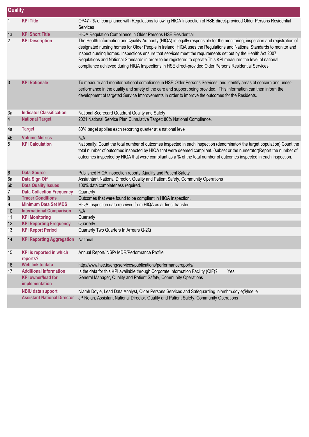|                | <b>Quality</b>                              |                                                                                                                                                                                                                                                                                                                                                                                                                                                                                                                                                                                                      |  |  |  |
|----------------|---------------------------------------------|------------------------------------------------------------------------------------------------------------------------------------------------------------------------------------------------------------------------------------------------------------------------------------------------------------------------------------------------------------------------------------------------------------------------------------------------------------------------------------------------------------------------------------------------------------------------------------------------------|--|--|--|
| $\mathbf{1}$   | <b>KPI Title</b>                            | OP47 - % of compliance with Regulations following HIQA Inspection of HSE direct-provided Older Persons Residential<br>Services                                                                                                                                                                                                                                                                                                                                                                                                                                                                       |  |  |  |
| 1a             | <b>KPI Short Title</b>                      | HIQA Regulation Compliance in Older Persons HSE Residential                                                                                                                                                                                                                                                                                                                                                                                                                                                                                                                                          |  |  |  |
| $\overline{c}$ | <b>KPI Description</b>                      | The Health Information and Quality Authority (HIQA) is legally responsible for the monitoring, inspection and registration of<br>designated nursing homes for Older People in Ireland. HIQA uses the Regulations and National Standards to monitor and<br>inspect nursing homes. Inspections ensure that services meet the requirements set out by the Health Act 2007,<br>Regulations and National Standards in order to be registered to operate. This KPI measures the level of national<br>compliance achieved during HIQA Inspections in HSE direct-provided Older Persons Residential Services |  |  |  |
| 3              | <b>KPI Rationale</b>                        | To measure and monitor national compliance in HSE Older Persons Services, and identify areas of concern and under-<br>performance in the quality and safety of the care and support being provided. This information can then inform the<br>development of targeted Service Improvements in order to improve the outcomes for the Residents.                                                                                                                                                                                                                                                         |  |  |  |
| 3a             | <b>Indicator Classification</b>             | National Scorecard Quadrant Quality and Safety                                                                                                                                                                                                                                                                                                                                                                                                                                                                                                                                                       |  |  |  |
| 4              | <b>National Target</b>                      | 2021 National Service Plan Cumulative Target: 80% National Compliance.                                                                                                                                                                                                                                                                                                                                                                                                                                                                                                                               |  |  |  |
| 4a             | <b>Target</b>                               | 80% target applies each reporting quarter at a national level                                                                                                                                                                                                                                                                                                                                                                                                                                                                                                                                        |  |  |  |
| 4 <sub>b</sub> | <b>Volume Metrics</b>                       | N/A                                                                                                                                                                                                                                                                                                                                                                                                                                                                                                                                                                                                  |  |  |  |
| 5              | <b>KPI Calculation</b>                      | Nationally: Count the total number of outcomes inspected in each inspection (denominator/ the target population). Count the<br>total number of outcomes inspected by HIQA that were deemed compliant. (subset or the numerator)Report the number of<br>outcomes inspected by HIQA that were compliant as a % of the total number of outcomes inspected in each inspection.                                                                                                                                                                                                                           |  |  |  |
| $\,6$          | <b>Data Source</b>                          | Published HIQA inspection reports.; Quality and Patient Safety                                                                                                                                                                                                                                                                                                                                                                                                                                                                                                                                       |  |  |  |
| 6a             | Data Sign Off                               | Assiatntant National Director, Quality and Patient Safety, Community Operations                                                                                                                                                                                                                                                                                                                                                                                                                                                                                                                      |  |  |  |
| 6b             | <b>Data Quality Issues</b>                  | 100% data completeness required.                                                                                                                                                                                                                                                                                                                                                                                                                                                                                                                                                                     |  |  |  |
| 7              | <b>Data Collection Frequency</b>            | Quarterly                                                                                                                                                                                                                                                                                                                                                                                                                                                                                                                                                                                            |  |  |  |
| $\bf 8$        | <b>Tracer Conditions</b>                    | Outcomes that were found to be compliant in HIQA Inspection.                                                                                                                                                                                                                                                                                                                                                                                                                                                                                                                                         |  |  |  |
| 9              | <b>Minimum Data Set MDS</b>                 | HIQA Inspection data received from HIQA as a direct transfer                                                                                                                                                                                                                                                                                                                                                                                                                                                                                                                                         |  |  |  |
| 10             | <b>International Comparison</b>             | N/A                                                                                                                                                                                                                                                                                                                                                                                                                                                                                                                                                                                                  |  |  |  |
| 11             | <b>KPI Monitoring</b>                       | Quarterly                                                                                                                                                                                                                                                                                                                                                                                                                                                                                                                                                                                            |  |  |  |
| 12             | <b>KPI Reporting Frequency</b>              | Quarterly                                                                                                                                                                                                                                                                                                                                                                                                                                                                                                                                                                                            |  |  |  |
| 13             | <b>KPI Report Period</b>                    | Quarterly Two Quarters In Arrears Q-2Q                                                                                                                                                                                                                                                                                                                                                                                                                                                                                                                                                               |  |  |  |
| 14             | <b>KPI Reporting Aggregation National</b>   |                                                                                                                                                                                                                                                                                                                                                                                                                                                                                                                                                                                                      |  |  |  |
| 15             | <b>KPI</b> is reported in which<br>reports? | Annual Report/ NSP/ MDR/Performance Profile                                                                                                                                                                                                                                                                                                                                                                                                                                                                                                                                                          |  |  |  |
| 16             | Web link to data                            | http://www.hse.ie/eng/services/publications/performancereports/                                                                                                                                                                                                                                                                                                                                                                                                                                                                                                                                      |  |  |  |
| 17             | <b>Additional Information</b>               | Is the data for this KPI available through Corporate Information Facility (CIF)?<br>Yes                                                                                                                                                                                                                                                                                                                                                                                                                                                                                                              |  |  |  |
|                | <b>KPI</b> owner/lead for<br>implementation | General Manager, Quality and Patient Safety, Community Operations                                                                                                                                                                                                                                                                                                                                                                                                                                                                                                                                    |  |  |  |
|                | <b>NBIU data support</b>                    | Niamh Doyle, Lead Data Analyst, Older Persons Services and Safeguarding niamhm.doyle@hse.ie                                                                                                                                                                                                                                                                                                                                                                                                                                                                                                          |  |  |  |
|                | <b>Assistant National Director</b>          | JP Nolan, Assistant National Director, Quality and Patient Safety, Community Operations                                                                                                                                                                                                                                                                                                                                                                                                                                                                                                              |  |  |  |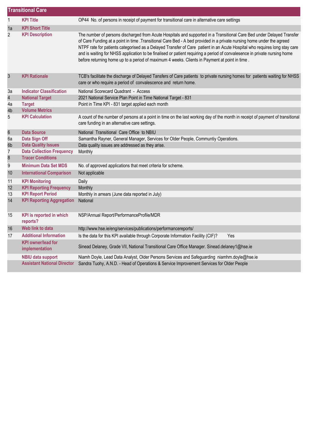|                | <b>Transitional Care</b>                    |                                                                                                                                                                                                                                                                                                                                                                                                                                                                                                                                                                                                           |  |  |
|----------------|---------------------------------------------|-----------------------------------------------------------------------------------------------------------------------------------------------------------------------------------------------------------------------------------------------------------------------------------------------------------------------------------------------------------------------------------------------------------------------------------------------------------------------------------------------------------------------------------------------------------------------------------------------------------|--|--|
| $\mathbf{1}$   | <b>KPI Title</b>                            | OP44 No. of persons in receipt of payment for transitional care in alternative care settings                                                                                                                                                                                                                                                                                                                                                                                                                                                                                                              |  |  |
| 1a             | <b>KPI Short Title</b>                      |                                                                                                                                                                                                                                                                                                                                                                                                                                                                                                                                                                                                           |  |  |
| $\overline{2}$ | <b>KPI Description</b>                      | The number of persons discharged from Acute Hospitals and supported in a Transitional Care Bed under Delayed Transfer<br>of Care Funding at a point in time .Transitional Care Bed - A bed provided in a private nursing home under the agreed<br>NTPF rate for patients categorised as a Delayed Transfer of Care patient in an Acute Hospital who requires long stay care<br>and is waiting for NHSS application to be finalised or patient requiring a period of convalesence in private nursing home<br>before returning home up to a period of maximum 4 weeks. Clients in Payment at point in time. |  |  |
| 3              | <b>KPI Rationale</b>                        | TCB's facilitate the discharge of Delayed Tansfers of Care patients to private nursing homes for patients waiting for NHSS<br>care or who require a period of convalescence and return home.                                                                                                                                                                                                                                                                                                                                                                                                              |  |  |
| За             | <b>Indicator Classification</b>             | National Scorecard Quadrant - Access                                                                                                                                                                                                                                                                                                                                                                                                                                                                                                                                                                      |  |  |
| $\overline{4}$ | <b>National Target</b>                      | 2021 National Service Plan Point in Time National Target - 831                                                                                                                                                                                                                                                                                                                                                                                                                                                                                                                                            |  |  |
| 4a             | <b>Target</b>                               | Point in Time KPI - 831 target applied each month                                                                                                                                                                                                                                                                                                                                                                                                                                                                                                                                                         |  |  |
| 4b             | <b>Volume Metrics</b>                       |                                                                                                                                                                                                                                                                                                                                                                                                                                                                                                                                                                                                           |  |  |
| 5              | <b>KPI Calculation</b>                      | A count of the number of persons at a point in time on the last working day of the month in receipt of payment of transitional<br>care funding in an alternative care settings.                                                                                                                                                                                                                                                                                                                                                                                                                           |  |  |
| $\,6$          | <b>Data Source</b>                          | National Transitional Care Office to NBIU                                                                                                                                                                                                                                                                                                                                                                                                                                                                                                                                                                 |  |  |
| 6a             | Data Sign Off                               | Samantha Rayner, General Manager, Services for Older People, Communtiy Operations.                                                                                                                                                                                                                                                                                                                                                                                                                                                                                                                        |  |  |
| 6b             | <b>Data Quality Issues</b>                  | Data quality issues are addressed as they arise.                                                                                                                                                                                                                                                                                                                                                                                                                                                                                                                                                          |  |  |
| 7              | <b>Data Collection Frequency</b>            | Monthly                                                                                                                                                                                                                                                                                                                                                                                                                                                                                                                                                                                                   |  |  |
| $\bf 8$        | <b>Tracer Conditions</b>                    |                                                                                                                                                                                                                                                                                                                                                                                                                                                                                                                                                                                                           |  |  |
| 9              | <b>Minimum Data Set MDS</b>                 | No. of approved applications that meet criteria for scheme.                                                                                                                                                                                                                                                                                                                                                                                                                                                                                                                                               |  |  |
| 10             | <b>International Comparison</b>             | Not applicable                                                                                                                                                                                                                                                                                                                                                                                                                                                                                                                                                                                            |  |  |
| 11             | <b>KPI Monitoring</b>                       | Daily                                                                                                                                                                                                                                                                                                                                                                                                                                                                                                                                                                                                     |  |  |
| 12             | <b>KPI Reporting Frequency</b>              | Monthly                                                                                                                                                                                                                                                                                                                                                                                                                                                                                                                                                                                                   |  |  |
| 13             | <b>KPI Report Period</b>                    | Monthly in arrears (June data reported in July)                                                                                                                                                                                                                                                                                                                                                                                                                                                                                                                                                           |  |  |
| 14             | <b>KPI Reporting Aggregation</b>            | National                                                                                                                                                                                                                                                                                                                                                                                                                                                                                                                                                                                                  |  |  |
| 15             | <b>KPI</b> is reported in which<br>reports? | NSP/Annual Report/PerformanceProfile/MDR                                                                                                                                                                                                                                                                                                                                                                                                                                                                                                                                                                  |  |  |
| 16             | Web link to data                            | http://www.hse.ie/eng/services/publications/performancereports/                                                                                                                                                                                                                                                                                                                                                                                                                                                                                                                                           |  |  |
| 17             | <b>Additional Information</b>               | Is the data for this KPI available through Corporate Information Facility (CIF)?<br>Yes                                                                                                                                                                                                                                                                                                                                                                                                                                                                                                                   |  |  |
|                | <b>KPI</b> owner/lead for<br>implementation | Sinead Delaney, Grade VII, National Transitional Care Office Manager. Sinead.delaney1@hse.ie                                                                                                                                                                                                                                                                                                                                                                                                                                                                                                              |  |  |
|                | <b>NBIU data support</b>                    | Niamh Doyle, Lead Data Analyst, Older Persons Services and Safeguarding niamhm.doyle@hse.ie                                                                                                                                                                                                                                                                                                                                                                                                                                                                                                               |  |  |
|                | <b>Assistant National Director</b>          | Sandra Tuohy, A.N.D. - Head of Operations & Service Improvement Services for Older People                                                                                                                                                                                                                                                                                                                                                                                                                                                                                                                 |  |  |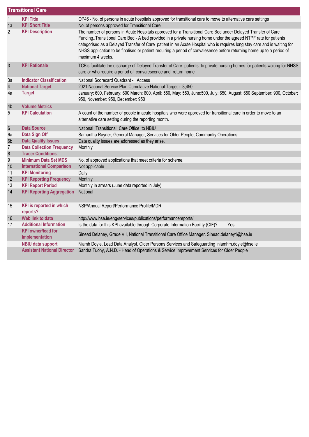|                         | <b>Transitional Care</b>                    |                                                                                                                                                                                                                                                                                                                                                                                                                                                                                                             |  |  |  |
|-------------------------|---------------------------------------------|-------------------------------------------------------------------------------------------------------------------------------------------------------------------------------------------------------------------------------------------------------------------------------------------------------------------------------------------------------------------------------------------------------------------------------------------------------------------------------------------------------------|--|--|--|
| $\mathbf{1}$            | <b>KPI Title</b>                            | OP46 - No. of persons in acute hospitals approved for transitional care to move to alternative care settings                                                                                                                                                                                                                                                                                                                                                                                                |  |  |  |
| 1a                      | <b>KPI Short Title</b>                      | No. of persons approved for Transitional Care                                                                                                                                                                                                                                                                                                                                                                                                                                                               |  |  |  |
| $\overline{2}$          | <b>KPI Description</b>                      | The number of persons in Acute Hospitals approved for a Transitional Care Bed under Delayed Transfer of Care<br>Funding. Transitional Care Bed - A bed provided in a private nursing home under the agreed NTPF rate for patients<br>categorised as a Delayed Transfer of Care patient in an Acute Hospital who is requires long stay care and is waiting for<br>NHSS application to be finalised or patient requiring a period of convalesence before returning home up to a period of<br>maximum 4 weeks. |  |  |  |
| $\mathfrak{S}$          | <b>KPI Rationale</b>                        | TCB's facilitate the discharge of Delayed Transfer of Care patients to private nursing homes for patients waiting for NHSS<br>care or who require a period of convalescence and return home                                                                                                                                                                                                                                                                                                                 |  |  |  |
| 3a                      | <b>Indicator Classification</b>             | National Scorecard Quadrant - Access                                                                                                                                                                                                                                                                                                                                                                                                                                                                        |  |  |  |
| $\overline{\mathbf{4}}$ | <b>National Target</b>                      | 2021 National Service Plan Cumulative National Target - 8,450                                                                                                                                                                                                                                                                                                                                                                                                                                               |  |  |  |
| 4a                      | <b>Target</b>                               | January: 600, February: 600 March: 600, April: 550, May: 550, June:500, July: 650, August: 650 September: 900, October:<br>950, November: 950, December: 950                                                                                                                                                                                                                                                                                                                                                |  |  |  |
| 4b                      | <b>Volume Metrics</b>                       |                                                                                                                                                                                                                                                                                                                                                                                                                                                                                                             |  |  |  |
| 5                       | <b>KPI Calculation</b>                      | A count of the number of people in acute hospitals who were approved for transitional care in order to move to an<br>alternative care setting during the reporting month.                                                                                                                                                                                                                                                                                                                                   |  |  |  |
| $\boldsymbol{6}$        | <b>Data Source</b>                          | National Transitional Care Office to NBIU                                                                                                                                                                                                                                                                                                                                                                                                                                                                   |  |  |  |
| 6a                      | Data Sign Off                               | Samantha Rayner, General Manager, Services for Older People, Communtiy Operations.                                                                                                                                                                                                                                                                                                                                                                                                                          |  |  |  |
| 6b                      | <b>Data Quality Issues</b>                  | Data quality issues are addressed as they arise.                                                                                                                                                                                                                                                                                                                                                                                                                                                            |  |  |  |
| $\overline{I}$          | <b>Data Collection Frequency</b>            | Monthly                                                                                                                                                                                                                                                                                                                                                                                                                                                                                                     |  |  |  |
| $\bf 8$                 | <b>Tracer Conditions</b>                    |                                                                                                                                                                                                                                                                                                                                                                                                                                                                                                             |  |  |  |
| 9                       | <b>Minimum Data Set MDS</b>                 | No. of approved applications that meet criteria for scheme.                                                                                                                                                                                                                                                                                                                                                                                                                                                 |  |  |  |
| 10                      | <b>International Comparison</b>             | Not applicable                                                                                                                                                                                                                                                                                                                                                                                                                                                                                              |  |  |  |
| 11                      | <b>KPI Monitoring</b>                       | Daily                                                                                                                                                                                                                                                                                                                                                                                                                                                                                                       |  |  |  |
| 12                      | <b>KPI Reporting Frequency</b>              | Monthly                                                                                                                                                                                                                                                                                                                                                                                                                                                                                                     |  |  |  |
| 13                      | <b>KPI Report Period</b>                    | Monthly in arrears (June data reported in July)                                                                                                                                                                                                                                                                                                                                                                                                                                                             |  |  |  |
| 14                      | <b>KPI Reporting Aggregation</b>            | National                                                                                                                                                                                                                                                                                                                                                                                                                                                                                                    |  |  |  |
| 15                      | <b>KPI</b> is reported in which<br>reports? | NSP/Annual Report/Performance Profile/MDR                                                                                                                                                                                                                                                                                                                                                                                                                                                                   |  |  |  |
| 16                      | Web link to data                            | http://www.hse.ie/eng/services/publications/performancereports/                                                                                                                                                                                                                                                                                                                                                                                                                                             |  |  |  |
| 17                      | <b>Additional Information</b>               | Is the data for this KPI available through Corporate Information Facility (CIF)?<br>Yes                                                                                                                                                                                                                                                                                                                                                                                                                     |  |  |  |
|                         | <b>KPI</b> owner/lead for<br>implementation | Sinead Delaney, Grade VII, National Transitional Care Office Manager. Sinead.delaney1@hse.ie                                                                                                                                                                                                                                                                                                                                                                                                                |  |  |  |
|                         | <b>NBIU data support</b>                    | Niamh Doyle, Lead Data Analyst, Older Persons Services and Safeguarding niamhm.doyle@hse.ie                                                                                                                                                                                                                                                                                                                                                                                                                 |  |  |  |
|                         | <b>Assistant National Director</b>          | Sandra Tuohy, A.N.D. - Head of Operations & Service Improvement Services for Older People                                                                                                                                                                                                                                                                                                                                                                                                                   |  |  |  |